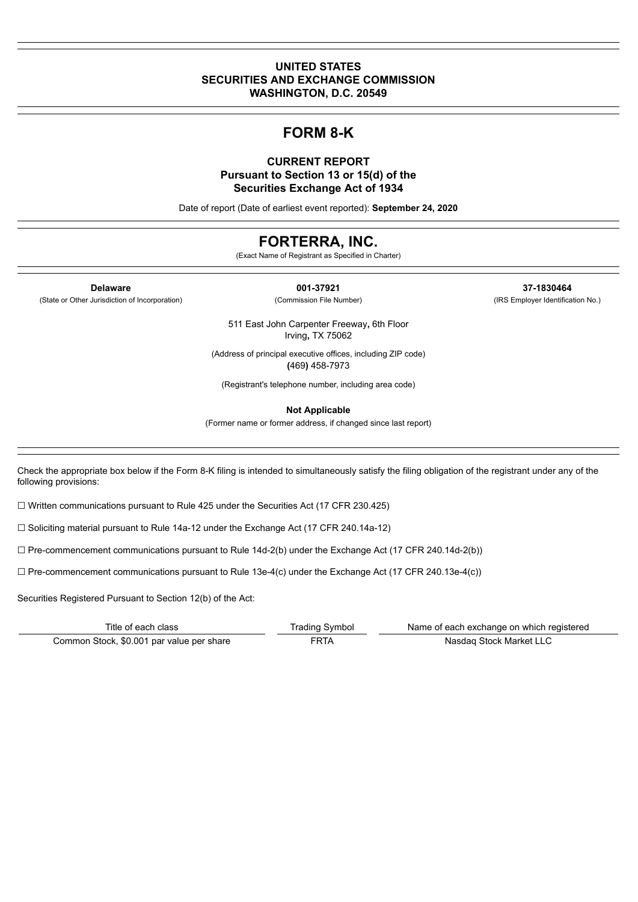### **UNITED STATES SECURITIES AND EXCHANGE COMMISSION WASHINGTON, D.C. 20549**

# **FORM 8-K**

### **CURRENT REPORT Pursuant to Section 13 or 15(d) of the Securities Exchange Act of 1934**

Date of report (Date of earliest event reported): **September 24, 2020**

# **FORTERRA, INC.**

(Exact Name of Registrant as Specified in Charter)

(State or Other Jurisdiction of Incorporation) (Commission File Number) (IRS Employer Identification No.)

**Delaware 001-37921 37-1830464**

511 East John Carpenter Freeway**,** 6th Floor Irving**,** TX 75062

(Address of principal executive offices, including ZIP code) **(**469**)** 458-7973

(Registrant's telephone number, including area code)

**Not Applicable**

(Former name or former address, if changed since last report)

Check the appropriate box below if the Form 8-K filing is intended to simultaneously satisfy the filing obligation of the registrant under any of the following provisions:

☐ Written communications pursuant to Rule 425 under the Securities Act (17 CFR 230.425)

☐ Soliciting material pursuant to Rule 14a-12 under the Exchange Act (17 CFR 240.14a-12)

 $\Box$  Pre-commencement communications pursuant to Rule 14d-2(b) under the Exchange Act (17 CFR 240.14d-2(b))

 $\Box$  Pre-commencement communications pursuant to Rule 13e-4(c) under the Exchange Act (17 CFR 240.13e-4(c))

Securities Registered Pursuant to Section 12(b) of the Act:

| Title of each class                       | Trading Symbol | Name of each exchange on which registered |
|-------------------------------------------|----------------|-------------------------------------------|
| Common Stock, \$0.001 par value per share | FRTA           | Nasdag Stock Market LLC                   |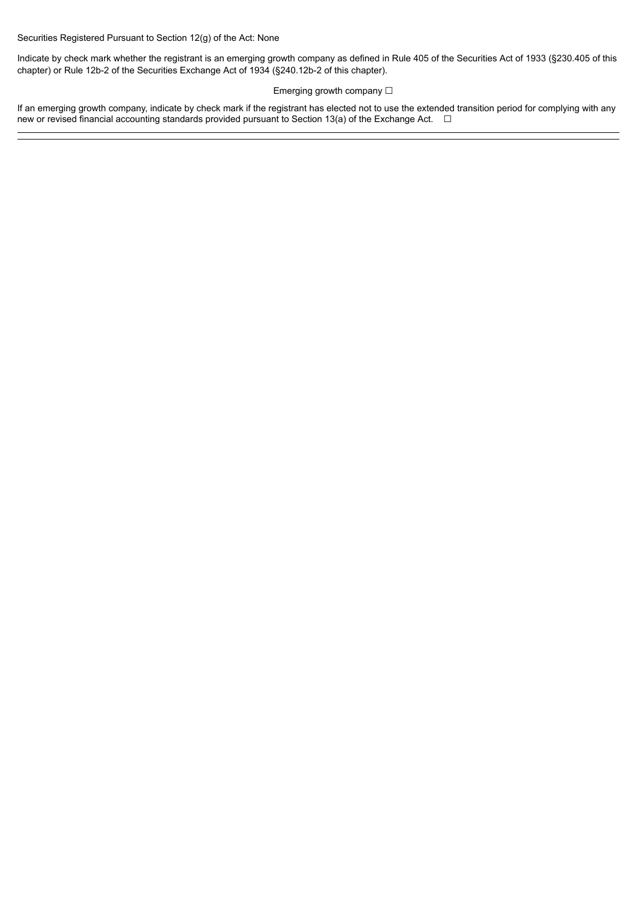Securities Registered Pursuant to Section 12(g) of the Act: None

Indicate by check mark whether the registrant is an emerging growth company as defined in Rule 405 of the Securities Act of 1933 (§230.405 of this chapter) or Rule 12b-2 of the Securities Exchange Act of 1934 (§240.12b-2 of this chapter).

### Emerging growth company □

If an emerging growth company, indicate by check mark if the registrant has elected not to use the extended transition period for complying with any new or revised financial accounting standards provided pursuant to Section 13(a) of the Exchange Act. □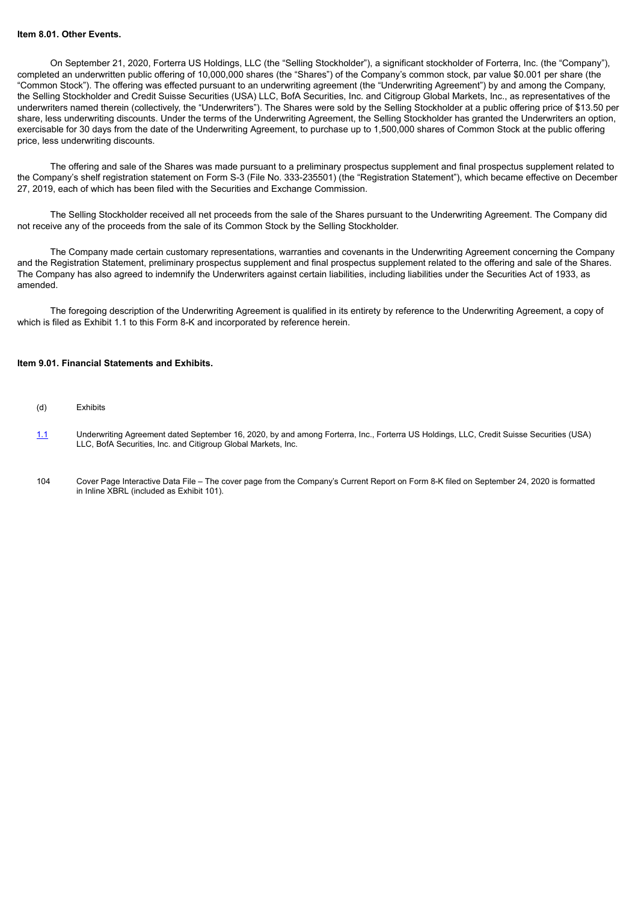#### **Item 8.01. Other Events.**

On September 21, 2020, Forterra US Holdings, LLC (the "Selling Stockholder"), a significant stockholder of Forterra, Inc. (the "Company"), completed an underwritten public offering of 10,000,000 shares (the "Shares") of the Company's common stock, par value \$0.001 per share (the "Common Stock"). The offering was effected pursuant to an underwriting agreement (the "Underwriting Agreement") by and among the Company, the Selling Stockholder and Credit Suisse Securities (USA) LLC, BofA Securities, Inc. and Citigroup Global Markets, Inc., as representatives of the underwriters named therein (collectively, the "Underwriters"). The Shares were sold by the Selling Stockholder at a public offering price of \$13.50 per share, less underwriting discounts. Under the terms of the Underwriting Agreement, the Selling Stockholder has granted the Underwriters an option, exercisable for 30 days from the date of the Underwriting Agreement, to purchase up to 1,500,000 shares of Common Stock at the public offering price, less underwriting discounts.

The offering and sale of the Shares was made pursuant to a preliminary prospectus supplement and final prospectus supplement related to the Company's shelf registration statement on Form S-3 (File No. 333-235501) (the "Registration Statement"), which became effective on December 27, 2019, each of which has been filed with the Securities and Exchange Commission.

The Selling Stockholder received all net proceeds from the sale of the Shares pursuant to the Underwriting Agreement. The Company did not receive any of the proceeds from the sale of its Common Stock by the Selling Stockholder.

The Company made certain customary representations, warranties and covenants in the Underwriting Agreement concerning the Company and the Registration Statement, preliminary prospectus supplement and final prospectus supplement related to the offering and sale of the Shares. The Company has also agreed to indemnify the Underwriters against certain liabilities, including liabilities under the Securities Act of 1933, as amended.

The foregoing description of the Underwriting Agreement is qualified in its entirety by reference to the Underwriting Agreement, a copy of which is filed as Exhibit 1.1 to this Form 8-K and incorporated by reference herein.

#### **Item 9.01. Financial Statements and Exhibits.**

- (d) Exhibits
- [1.1](#page-4-0) Underwriting Agreement dated September 16, 2020, by and among Forterra, Inc., Forterra US Holdings, LLC, Credit Suisse Securities (USA) LLC, BofA Securities, Inc. and Citigroup Global Markets, Inc.
- 104 Cover Page Interactive Data File The cover page from the Company's Current Report on Form 8-K filed on September 24, 2020 is formatted in Inline XBRL (included as Exhibit 101).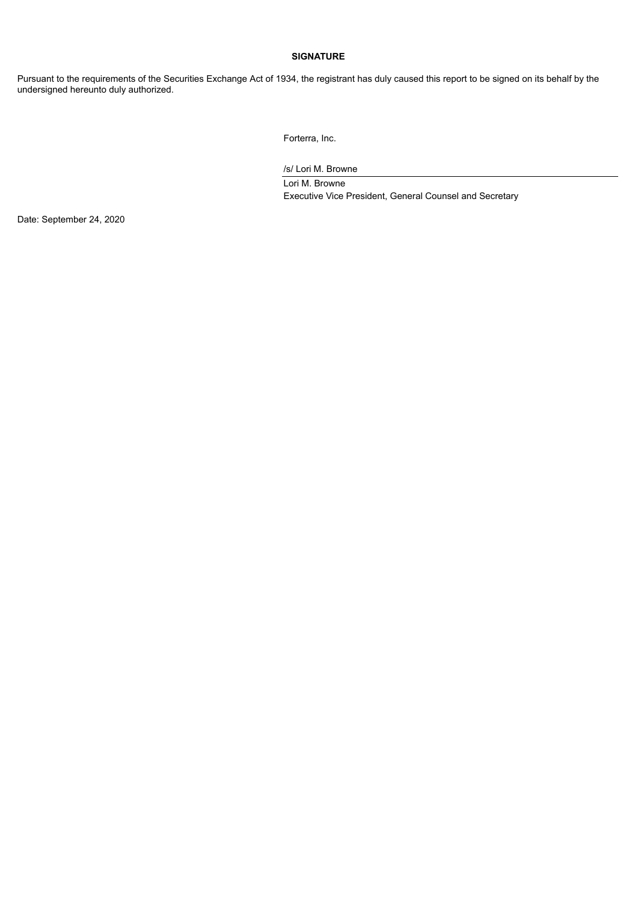# **SIGNATURE**

Pursuant to the requirements of the Securities Exchange Act of 1934, the registrant has duly caused this report to be signed on its behalf by the undersigned hereunto duly authorized.

Forterra, Inc.

/s/ Lori M. Browne

Lori M. Browne Executive Vice President, General Counsel and Secretary

Date: September 24, 2020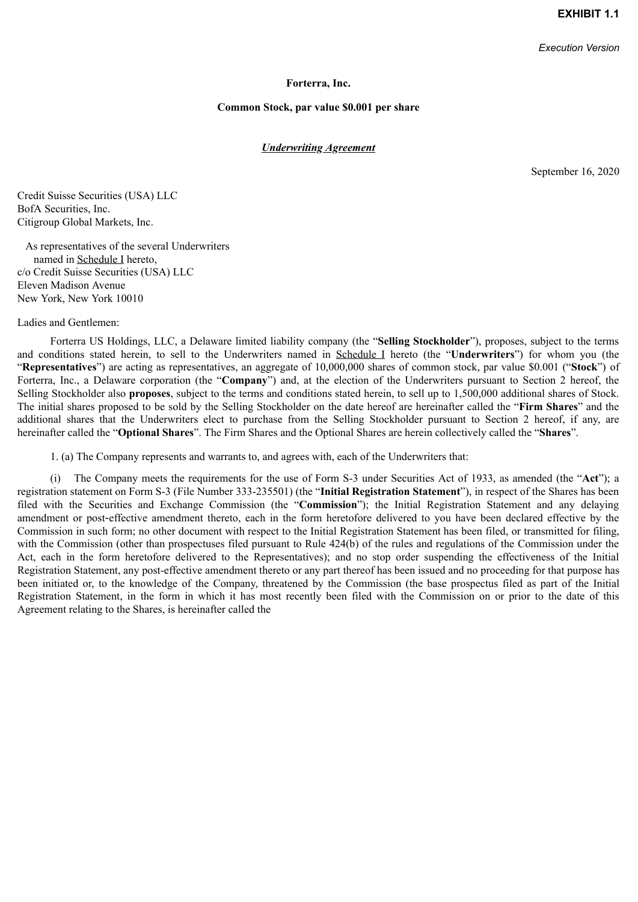*Execution Version*

### **Forterra, Inc.**

### **Common Stock, par value \$0.001 per share**

### *Underwriting Agreement*

September 16, 2020

<span id="page-4-0"></span>Credit Suisse Securities (USA) LLC BofA Securities, Inc. Citigroup Global Markets, Inc.

As representatives of the several Underwriters named in Schedule I hereto, c/o Credit Suisse Securities (USA) LLC Eleven Madison Avenue New York, New York 10010

Ladies and Gentlemen:

Forterra US Holdings, LLC, a Delaware limited liability company (the "**Selling Stockholder**"), proposes, subject to the terms and conditions stated herein, to sell to the Underwriters named in Schedule I hereto (the "**Underwriters**") for whom you (the "**Representatives**") are acting as representatives, an aggregate of 10,000,000 shares of common stock, par value \$0.001 ("**Stock**") of Forterra, Inc., a Delaware corporation (the "**Company**") and, at the election of the Underwriters pursuant to Section 2 hereof, the Selling Stockholder also **proposes**, subject to the terms and conditions stated herein, to sell up to 1,500,000 additional shares of Stock. The initial shares proposed to be sold by the Selling Stockholder on the date hereof are hereinafter called the "**Firm Shares**" and the additional shares that the Underwriters elect to purchase from the Selling Stockholder pursuant to Section 2 hereof, if any, are hereinafter called the "**Optional Shares**". The Firm Shares and the Optional Shares are herein collectively called the "**Shares**".

1. (a) The Company represents and warrants to, and agrees with, each of the Underwriters that:

(i) The Company meets the requirements for the use of Form S-3 under Securities Act of 1933, as amended (the "**Act**"); a registration statement on Form S-3 (File Number 333-235501) (the "**Initial Registration Statement**"), in respect of the Shares has been filed with the Securities and Exchange Commission (the "**Commission**"); the Initial Registration Statement and any delaying amendment or post-effective amendment thereto, each in the form heretofore delivered to you have been declared effective by the Commission in such form; no other document with respect to the Initial Registration Statement has been filed, or transmitted for filing, with the Commission (other than prospectuses filed pursuant to Rule 424(b) of the rules and regulations of the Commission under the Act, each in the form heretofore delivered to the Representatives); and no stop order suspending the effectiveness of the Initial Registration Statement, any post-effective amendment thereto or any part thereof has been issued and no proceeding for that purpose has been initiated or, to the knowledge of the Company, threatened by the Commission (the base prospectus filed as part of the Initial Registration Statement, in the form in which it has most recently been filed with the Commission on or prior to the date of this Agreement relating to the Shares, is hereinafter called the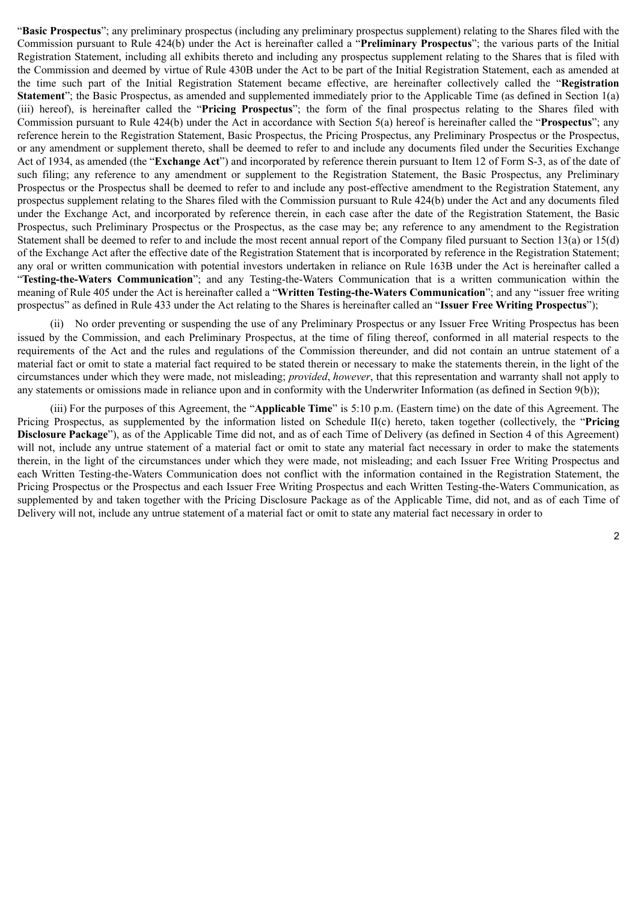"**Basic Prospectus**"; any preliminary prospectus (including any preliminary prospectus supplement) relating to the Shares filed with the Commission pursuant to Rule 424(b) under the Act is hereinafter called a "**Preliminary Prospectus**"; the various parts of the Initial Registration Statement, including all exhibits thereto and including any prospectus supplement relating to the Shares that is filed with the Commission and deemed by virtue of Rule 430B under the Act to be part of the Initial Registration Statement, each as amended at the time such part of the Initial Registration Statement became effective, are hereinafter collectively called the "**Registration Statement**"; the Basic Prospectus, as amended and supplemented immediately prior to the Applicable Time (as defined in Section 1(a) (iii) hereof), is hereinafter called the "**Pricing Prospectus**"; the form of the final prospectus relating to the Shares filed with Commission pursuant to Rule 424(b) under the Act in accordance with Section 5(a) hereof is hereinafter called the "**Prospectus**"; any reference herein to the Registration Statement, Basic Prospectus, the Pricing Prospectus, any Preliminary Prospectus or the Prospectus, or any amendment or supplement thereto, shall be deemed to refer to and include any documents filed under the Securities Exchange Act of 1934, as amended (the "**Exchange Act**") and incorporated by reference therein pursuant to Item 12 of Form S-3, as of the date of such filing; any reference to any amendment or supplement to the Registration Statement, the Basic Prospectus, any Preliminary Prospectus or the Prospectus shall be deemed to refer to and include any post-effective amendment to the Registration Statement, any prospectus supplement relating to the Shares filed with the Commission pursuant to Rule 424(b) under the Act and any documents filed under the Exchange Act, and incorporated by reference therein, in each case after the date of the Registration Statement, the Basic Prospectus, such Preliminary Prospectus or the Prospectus, as the case may be; any reference to any amendment to the Registration Statement shall be deemed to refer to and include the most recent annual report of the Company filed pursuant to Section 13(a) or 15(d) of the Exchange Act after the effective date of the Registration Statement that is incorporated by reference in the Registration Statement; any oral or written communication with potential investors undertaken in reliance on Rule 163B under the Act is hereinafter called a "**Testing-the-Waters Communication**"; and any Testing-the-Waters Communication that is a written communication within the meaning of Rule 405 under the Act is hereinafter called a "**Written Testing-the-Waters Communication**"; and any "issuer free writing prospectus" as defined in Rule 433 under the Act relating to the Shares is hereinafter called an "**Issuer Free Writing Prospectus**");

(ii) No order preventing or suspending the use of any Preliminary Prospectus or any Issuer Free Writing Prospectus has been issued by the Commission, and each Preliminary Prospectus, at the time of filing thereof, conformed in all material respects to the requirements of the Act and the rules and regulations of the Commission thereunder, and did not contain an untrue statement of a material fact or omit to state a material fact required to be stated therein or necessary to make the statements therein, in the light of the circumstances under which they were made, not misleading; *provided*, *however*, that this representation and warranty shall not apply to any statements or omissions made in reliance upon and in conformity with the Underwriter Information (as defined in Section 9(b));

(iii) For the purposes of this Agreement, the "**Applicable Time**" is 5:10 p.m. (Eastern time) on the date of this Agreement. The Pricing Prospectus, as supplemented by the information listed on Schedule II(c) hereto, taken together (collectively, the "**Pricing Disclosure Package**"), as of the Applicable Time did not, and as of each Time of Delivery (as defined in Section 4 of this Agreement) will not, include any untrue statement of a material fact or omit to state any material fact necessary in order to make the statements therein, in the light of the circumstances under which they were made, not misleading; and each Issuer Free Writing Prospectus and each Written Testing-the-Waters Communication does not conflict with the information contained in the Registration Statement, the Pricing Prospectus or the Prospectus and each Issuer Free Writing Prospectus and each Written Testing-the-Waters Communication, as supplemented by and taken together with the Pricing Disclosure Package as of the Applicable Time, did not, and as of each Time of Delivery will not, include any untrue statement of a material fact or omit to state any material fact necessary in order to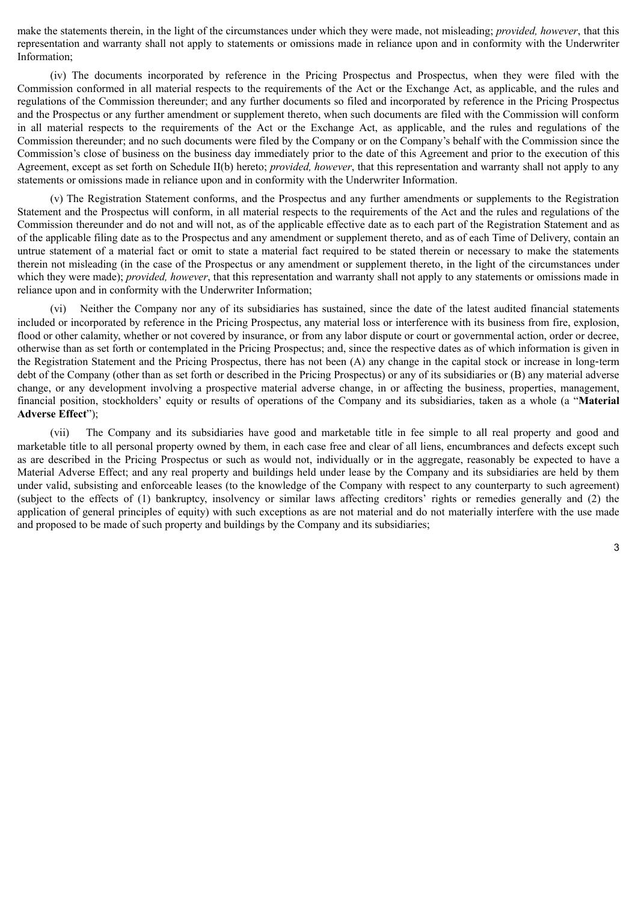make the statements therein, in the light of the circumstances under which they were made, not misleading; *provided, however*, that this representation and warranty shall not apply to statements or omissions made in reliance upon and in conformity with the Underwriter Information;

(iv) The documents incorporated by reference in the Pricing Prospectus and Prospectus, when they were filed with the Commission conformed in all material respects to the requirements of the Act or the Exchange Act, as applicable, and the rules and regulations of the Commission thereunder; and any further documents so filed and incorporated by reference in the Pricing Prospectus and the Prospectus or any further amendment or supplement thereto, when such documents are filed with the Commission will conform in all material respects to the requirements of the Act or the Exchange Act, as applicable, and the rules and regulations of the Commission thereunder; and no such documents were filed by the Company or on the Company's behalf with the Commission since the Commission's close of business on the business day immediately prior to the date of this Agreement and prior to the execution of this Agreement, except as set forth on Schedule II(b) hereto; *provided, however*, that this representation and warranty shall not apply to any statements or omissions made in reliance upon and in conformity with the Underwriter Information.

(v) The Registration Statement conforms, and the Prospectus and any further amendments or supplements to the Registration Statement and the Prospectus will conform, in all material respects to the requirements of the Act and the rules and regulations of the Commission thereunder and do not and will not, as of the applicable effective date as to each part of the Registration Statement and as of the applicable filing date as to the Prospectus and any amendment or supplement thereto, and as of each Time of Delivery, contain an untrue statement of a material fact or omit to state a material fact required to be stated therein or necessary to make the statements therein not misleading (in the case of the Prospectus or any amendment or supplement thereto, in the light of the circumstances under which they were made); *provided, however*, that this representation and warranty shall not apply to any statements or omissions made in reliance upon and in conformity with the Underwriter Information;

(vi) Neither the Company nor any of its subsidiaries has sustained, since the date of the latest audited financial statements included or incorporated by reference in the Pricing Prospectus, any material loss or interference with its business from fire, explosion, flood or other calamity, whether or not covered by insurance, or from any labor dispute or court or governmental action, order or decree, otherwise than as set forth or contemplated in the Pricing Prospectus; and, since the respective dates as of which information is given in the Registration Statement and the Pricing Prospectus, there has not been (A) any change in the capital stock or increase in long‑term debt of the Company (other than as set forth or described in the Pricing Prospectus) or any of its subsidiaries or (B) any material adverse change, or any development involving a prospective material adverse change, in or affecting the business, properties, management, financial position, stockholders' equity or results of operations of the Company and its subsidiaries, taken as a whole (a "**Material Adverse Effect**");

(vii) The Company and its subsidiaries have good and marketable title in fee simple to all real property and good and marketable title to all personal property owned by them, in each case free and clear of all liens, encumbrances and defects except such as are described in the Pricing Prospectus or such as would not, individually or in the aggregate, reasonably be expected to have a Material Adverse Effect; and any real property and buildings held under lease by the Company and its subsidiaries are held by them under valid, subsisting and enforceable leases (to the knowledge of the Company with respect to any counterparty to such agreement) (subject to the effects of (1) bankruptcy, insolvency or similar laws affecting creditors' rights or remedies generally and (2) the application of general principles of equity) with such exceptions as are not material and do not materially interfere with the use made and proposed to be made of such property and buildings by the Company and its subsidiaries;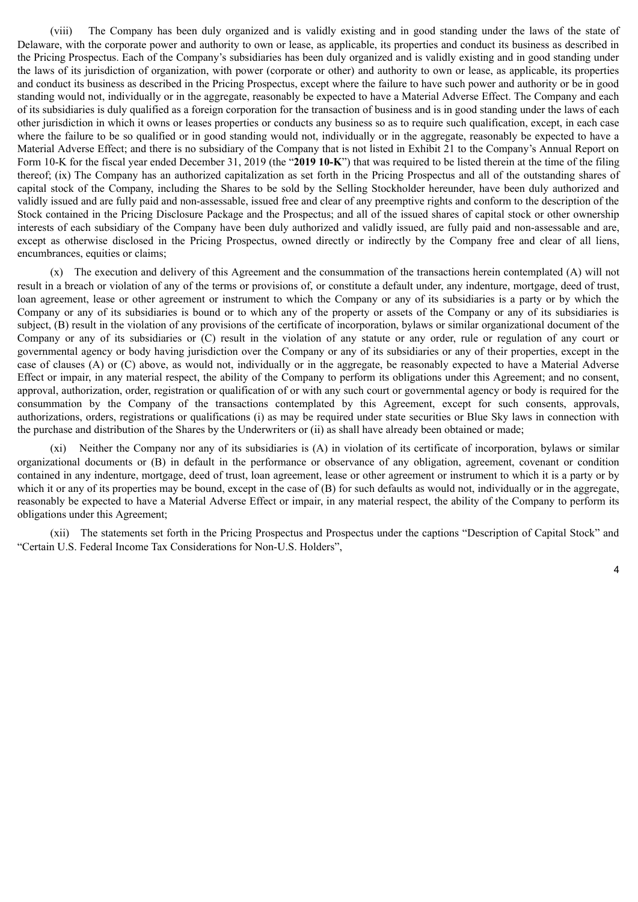(viii) The Company has been duly organized and is validly existing and in good standing under the laws of the state of Delaware, with the corporate power and authority to own or lease, as applicable, its properties and conduct its business as described in the Pricing Prospectus. Each of the Company's subsidiaries has been duly organized and is validly existing and in good standing under the laws of its jurisdiction of organization, with power (corporate or other) and authority to own or lease, as applicable, its properties and conduct its business as described in the Pricing Prospectus, except where the failure to have such power and authority or be in good standing would not, individually or in the aggregate, reasonably be expected to have a Material Adverse Effect. The Company and each of its subsidiaries is duly qualified as a foreign corporation for the transaction of business and is in good standing under the laws of each other jurisdiction in which it owns or leases properties or conducts any business so as to require such qualification, except, in each case where the failure to be so qualified or in good standing would not, individually or in the aggregate, reasonably be expected to have a Material Adverse Effect; and there is no subsidiary of the Company that is not listed in Exhibit 21 to the Company's Annual Report on Form 10-K for the fiscal year ended December 31, 2019 (the "**2019 10-K**") that was required to be listed therein at the time of the filing thereof; (ix) The Company has an authorized capitalization as set forth in the Pricing Prospectus and all of the outstanding shares of capital stock of the Company, including the Shares to be sold by the Selling Stockholder hereunder, have been duly authorized and validly issued and are fully paid and non-assessable, issued free and clear of any preemptive rights and conform to the description of the Stock contained in the Pricing Disclosure Package and the Prospectus; and all of the issued shares of capital stock or other ownership interests of each subsidiary of the Company have been duly authorized and validly issued, are fully paid and non-assessable and are, except as otherwise disclosed in the Pricing Prospectus, owned directly or indirectly by the Company free and clear of all liens, encumbrances, equities or claims;

(x) The execution and delivery of this Agreement and the consummation of the transactions herein contemplated (A) will not result in a breach or violation of any of the terms or provisions of, or constitute a default under, any indenture, mortgage, deed of trust, loan agreement, lease or other agreement or instrument to which the Company or any of its subsidiaries is a party or by which the Company or any of its subsidiaries is bound or to which any of the property or assets of the Company or any of its subsidiaries is subject, (B) result in the violation of any provisions of the certificate of incorporation, bylaws or similar organizational document of the Company or any of its subsidiaries or (C) result in the violation of any statute or any order, rule or regulation of any court or governmental agency or body having jurisdiction over the Company or any of its subsidiaries or any of their properties, except in the case of clauses (A) or (C) above, as would not, individually or in the aggregate, be reasonably expected to have a Material Adverse Effect or impair, in any material respect, the ability of the Company to perform its obligations under this Agreement; and no consent, approval, authorization, order, registration or qualification of or with any such court or governmental agency or body is required for the consummation by the Company of the transactions contemplated by this Agreement, except for such consents, approvals, authorizations, orders, registrations or qualifications (i) as may be required under state securities or Blue Sky laws in connection with the purchase and distribution of the Shares by the Underwriters or (ii) as shall have already been obtained or made;

(xi) Neither the Company nor any of its subsidiaries is (A) in violation of its certificate of incorporation, bylaws or similar organizational documents or (B) in default in the performance or observance of any obligation, agreement, covenant or condition contained in any indenture, mortgage, deed of trust, loan agreement, lease or other agreement or instrument to which it is a party or by which it or any of its properties may be bound, except in the case of (B) for such defaults as would not, individually or in the aggregate, reasonably be expected to have a Material Adverse Effect or impair, in any material respect, the ability of the Company to perform its obligations under this Agreement;

(xii) The statements set forth in the Pricing Prospectus and Prospectus under the captions "Description of Capital Stock" and "Certain U.S. Federal Income Tax Considerations for Non-U.S. Holders",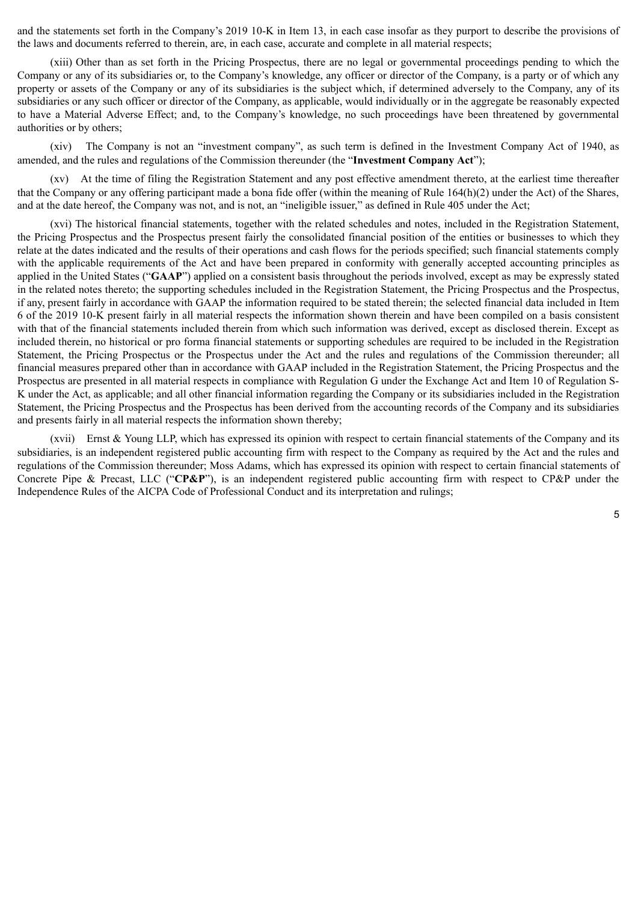and the statements set forth in the Company's 2019 10-K in Item 13, in each case insofar as they purport to describe the provisions of the laws and documents referred to therein, are, in each case, accurate and complete in all material respects;

(xiii) Other than as set forth in the Pricing Prospectus, there are no legal or governmental proceedings pending to which the Company or any of its subsidiaries or, to the Company's knowledge, any officer or director of the Company, is a party or of which any property or assets of the Company or any of its subsidiaries is the subject which, if determined adversely to the Company, any of its subsidiaries or any such officer or director of the Company, as applicable, would individually or in the aggregate be reasonably expected to have a Material Adverse Effect; and, to the Company's knowledge, no such proceedings have been threatened by governmental authorities or by others;

(xiv) The Company is not an "investment company", as such term is defined in the Investment Company Act of 1940, as amended, and the rules and regulations of the Commission thereunder (the "**Investment Company Act**");

(xv) At the time of filing the Registration Statement and any post effective amendment thereto, at the earliest time thereafter that the Company or any offering participant made a bona fide offer (within the meaning of Rule 164(h)(2) under the Act) of the Shares, and at the date hereof, the Company was not, and is not, an "ineligible issuer," as defined in Rule 405 under the Act;

(xvi) The historical financial statements, together with the related schedules and notes, included in the Registration Statement, the Pricing Prospectus and the Prospectus present fairly the consolidated financial position of the entities or businesses to which they relate at the dates indicated and the results of their operations and cash flows for the periods specified; such financial statements comply with the applicable requirements of the Act and have been prepared in conformity with generally accepted accounting principles as applied in the United States ("**GAAP**") applied on a consistent basis throughout the periods involved, except as may be expressly stated in the related notes thereto; the supporting schedules included in the Registration Statement, the Pricing Prospectus and the Prospectus, if any, present fairly in accordance with GAAP the information required to be stated therein; the selected financial data included in Item 6 of the 2019 10-K present fairly in all material respects the information shown therein and have been compiled on a basis consistent with that of the financial statements included therein from which such information was derived, except as disclosed therein. Except as included therein, no historical or pro forma financial statements or supporting schedules are required to be included in the Registration Statement, the Pricing Prospectus or the Prospectus under the Act and the rules and regulations of the Commission thereunder; all financial measures prepared other than in accordance with GAAP included in the Registration Statement, the Pricing Prospectus and the Prospectus are presented in all material respects in compliance with Regulation G under the Exchange Act and Item 10 of Regulation S-K under the Act, as applicable; and all other financial information regarding the Company or its subsidiaries included in the Registration Statement, the Pricing Prospectus and the Prospectus has been derived from the accounting records of the Company and its subsidiaries and presents fairly in all material respects the information shown thereby;

(xvii) Ernst & Young LLP, which has expressed its opinion with respect to certain financial statements of the Company and its subsidiaries, is an independent registered public accounting firm with respect to the Company as required by the Act and the rules and regulations of the Commission thereunder; Moss Adams, which has expressed its opinion with respect to certain financial statements of Concrete Pipe & Precast, LLC ("**CP&P**"), is an independent registered public accounting firm with respect to CP&P under the Independence Rules of the AICPA Code of Professional Conduct and its interpretation and rulings;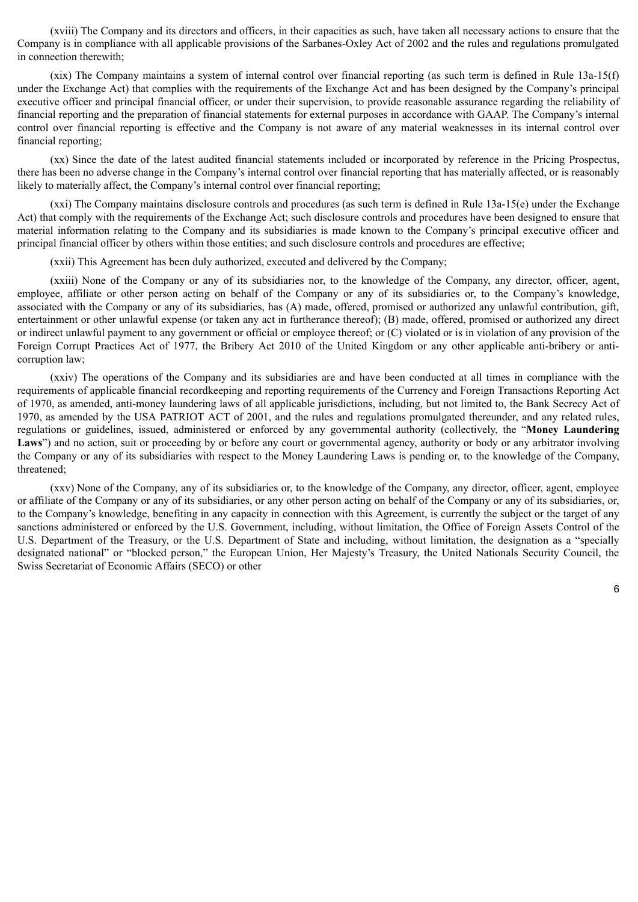(xviii) The Company and its directors and officers, in their capacities as such, have taken all necessary actions to ensure that the Company is in compliance with all applicable provisions of the Sarbanes-Oxley Act of 2002 and the rules and regulations promulgated in connection therewith;

(xix) The Company maintains a system of internal control over financial reporting (as such term is defined in Rule 13a-15(f) under the Exchange Act) that complies with the requirements of the Exchange Act and has been designed by the Company's principal executive officer and principal financial officer, or under their supervision, to provide reasonable assurance regarding the reliability of financial reporting and the preparation of financial statements for external purposes in accordance with GAAP. The Company's internal control over financial reporting is effective and the Company is not aware of any material weaknesses in its internal control over financial reporting;

(xx) Since the date of the latest audited financial statements included or incorporated by reference in the Pricing Prospectus, there has been no adverse change in the Company's internal control over financial reporting that has materially affected, or is reasonably likely to materially affect, the Company's internal control over financial reporting;

(xxi) The Company maintains disclosure controls and procedures (as such term is defined in Rule 13a-15(e) under the Exchange Act) that comply with the requirements of the Exchange Act; such disclosure controls and procedures have been designed to ensure that material information relating to the Company and its subsidiaries is made known to the Company's principal executive officer and principal financial officer by others within those entities; and such disclosure controls and procedures are effective;

(xxii) This Agreement has been duly authorized, executed and delivered by the Company;

(xxiii) None of the Company or any of its subsidiaries nor, to the knowledge of the Company, any director, officer, agent, employee, affiliate or other person acting on behalf of the Company or any of its subsidiaries or, to the Company's knowledge, associated with the Company or any of its subsidiaries, has (A) made, offered, promised or authorized any unlawful contribution, gift, entertainment or other unlawful expense (or taken any act in furtherance thereof); (B) made, offered, promised or authorized any direct or indirect unlawful payment to any government or official or employee thereof; or (C) violated or is in violation of any provision of the Foreign Corrupt Practices Act of 1977, the Bribery Act 2010 of the United Kingdom or any other applicable anti-bribery or anticorruption law;

(xxiv) The operations of the Company and its subsidiaries are and have been conducted at all times in compliance with the requirements of applicable financial recordkeeping and reporting requirements of the Currency and Foreign Transactions Reporting Act of 1970, as amended, anti-money laundering laws of all applicable jurisdictions, including, but not limited to, the Bank Secrecy Act of 1970, as amended by the USA PATRIOT ACT of 2001, and the rules and regulations promulgated thereunder, and any related rules, regulations or guidelines, issued, administered or enforced by any governmental authority (collectively, the "**Money Laundering** Laws") and no action, suit or proceeding by or before any court or governmental agency, authority or body or any arbitrator involving the Company or any of its subsidiaries with respect to the Money Laundering Laws is pending or, to the knowledge of the Company, threatened;

(xxv) None of the Company, any of its subsidiaries or, to the knowledge of the Company, any director, officer, agent, employee or affiliate of the Company or any of its subsidiaries, or any other person acting on behalf of the Company or any of its subsidiaries, or, to the Company's knowledge, benefiting in any capacity in connection with this Agreement, is currently the subject or the target of any sanctions administered or enforced by the U.S. Government, including, without limitation, the Office of Foreign Assets Control of the U.S. Department of the Treasury, or the U.S. Department of State and including, without limitation, the designation as a "specially designated national" or "blocked person," the European Union, Her Majesty's Treasury, the United Nationals Security Council, the Swiss Secretariat of Economic Affairs (SECO) or other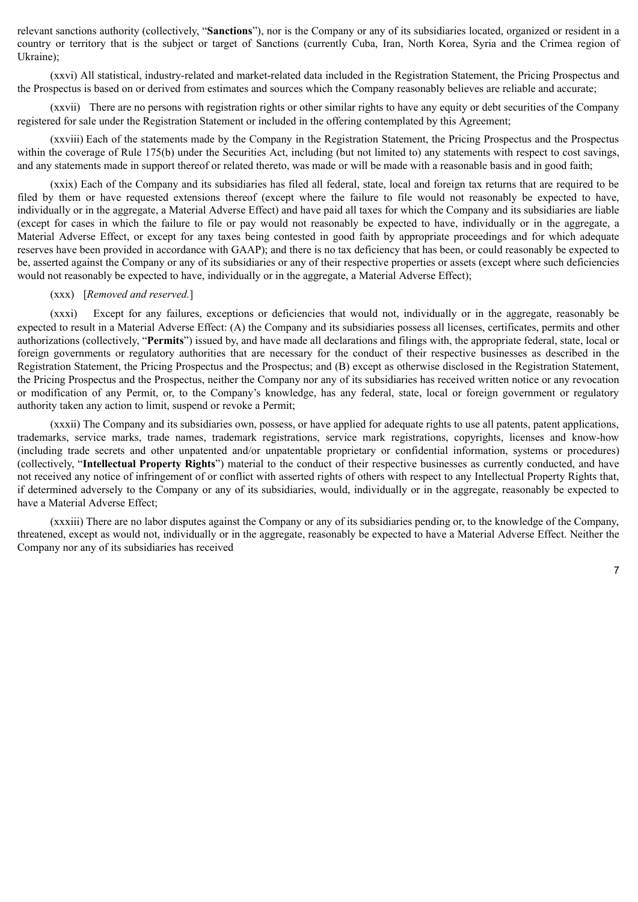relevant sanctions authority (collectively, "**Sanctions**"), nor is the Company or any of its subsidiaries located, organized or resident in a country or territory that is the subject or target of Sanctions (currently Cuba, Iran, North Korea, Syria and the Crimea region of Ukraine);

(xxvi) All statistical, industry-related and market-related data included in the Registration Statement, the Pricing Prospectus and the Prospectus is based on or derived from estimates and sources which the Company reasonably believes are reliable and accurate;

(xxvii) There are no persons with registration rights or other similar rights to have any equity or debt securities of the Company registered for sale under the Registration Statement or included in the offering contemplated by this Agreement;

(xxviii) Each of the statements made by the Company in the Registration Statement, the Pricing Prospectus and the Prospectus within the coverage of Rule 175(b) under the Securities Act, including (but not limited to) any statements with respect to cost savings, and any statements made in support thereof or related thereto, was made or will be made with a reasonable basis and in good faith;

(xxix) Each of the Company and its subsidiaries has filed all federal, state, local and foreign tax returns that are required to be filed by them or have requested extensions thereof (except where the failure to file would not reasonably be expected to have, individually or in the aggregate, a Material Adverse Effect) and have paid all taxes for which the Company and its subsidiaries are liable (except for cases in which the failure to file or pay would not reasonably be expected to have, individually or in the aggregate, a Material Adverse Effect, or except for any taxes being contested in good faith by appropriate proceedings and for which adequate reserves have been provided in accordance with GAAP); and there is no tax deficiency that has been, or could reasonably be expected to be, asserted against the Company or any of its subsidiaries or any of their respective properties or assets (except where such deficiencies would not reasonably be expected to have, individually or in the aggregate, a Material Adverse Effect);

### (xxx) [*Removed and reserved.*]

(xxxi) Except for any failures, exceptions or deficiencies that would not, individually or in the aggregate, reasonably be expected to result in a Material Adverse Effect: (A) the Company and its subsidiaries possess all licenses, certificates, permits and other authorizations (collectively, "**Permits**") issued by, and have made all declarations and filings with, the appropriate federal, state, local or foreign governments or regulatory authorities that are necessary for the conduct of their respective businesses as described in the Registration Statement, the Pricing Prospectus and the Prospectus; and (B) except as otherwise disclosed in the Registration Statement, the Pricing Prospectus and the Prospectus, neither the Company nor any of its subsidiaries has received written notice or any revocation or modification of any Permit, or, to the Company's knowledge, has any federal, state, local or foreign government or regulatory authority taken any action to limit, suspend or revoke a Permit;

(xxxii) The Company and its subsidiaries own, possess, or have applied for adequate rights to use all patents, patent applications, trademarks, service marks, trade names, trademark registrations, service mark registrations, copyrights, licenses and know-how (including trade secrets and other unpatented and/or unpatentable proprietary or confidential information, systems or procedures) (collectively, "**Intellectual Property Rights**") material to the conduct of their respective businesses as currently conducted, and have not received any notice of infringement of or conflict with asserted rights of others with respect to any Intellectual Property Rights that, if determined adversely to the Company or any of its subsidiaries, would, individually or in the aggregate, reasonably be expected to have a Material Adverse Effect;

(xxxiii) There are no labor disputes against the Company or any of its subsidiaries pending or, to the knowledge of the Company, threatened, except as would not, individually or in the aggregate, reasonably be expected to have a Material Adverse Effect. Neither the Company nor any of its subsidiaries has received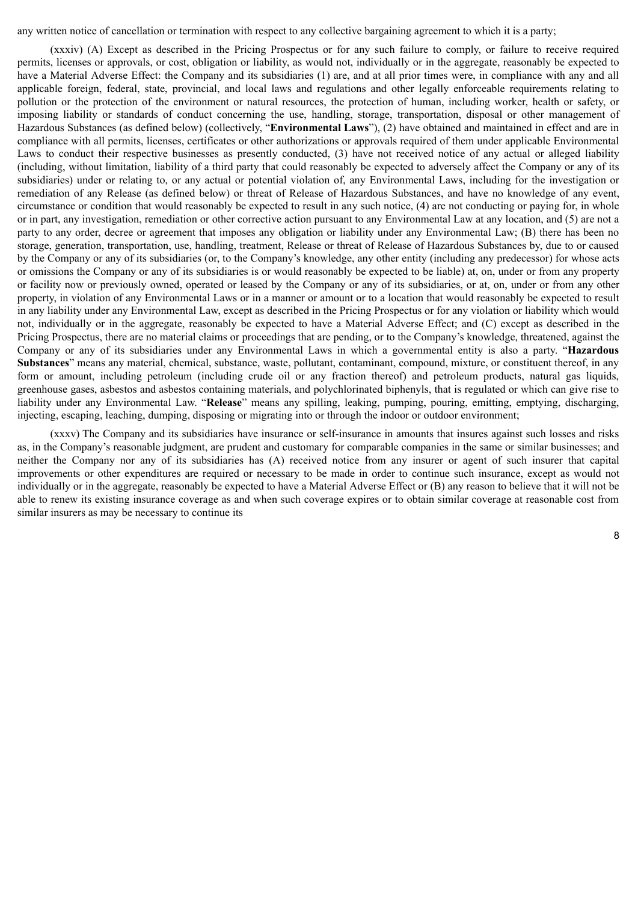any written notice of cancellation or termination with respect to any collective bargaining agreement to which it is a party;

(xxxiv) (A) Except as described in the Pricing Prospectus or for any such failure to comply, or failure to receive required permits, licenses or approvals, or cost, obligation or liability, as would not, individually or in the aggregate, reasonably be expected to have a Material Adverse Effect: the Company and its subsidiaries (1) are, and at all prior times were, in compliance with any and all applicable foreign, federal, state, provincial, and local laws and regulations and other legally enforceable requirements relating to pollution or the protection of the environment or natural resources, the protection of human, including worker, health or safety, or imposing liability or standards of conduct concerning the use, handling, storage, transportation, disposal or other management of Hazardous Substances (as defined below) (collectively, "**Environmental Laws**"), (2) have obtained and maintained in effect and are in compliance with all permits, licenses, certificates or other authorizations or approvals required of them under applicable Environmental Laws to conduct their respective businesses as presently conducted, (3) have not received notice of any actual or alleged liability (including, without limitation, liability of a third party that could reasonably be expected to adversely affect the Company or any of its subsidiaries) under or relating to, or any actual or potential violation of, any Environmental Laws, including for the investigation or remediation of any Release (as defined below) or threat of Release of Hazardous Substances, and have no knowledge of any event, circumstance or condition that would reasonably be expected to result in any such notice, (4) are not conducting or paying for, in whole or in part, any investigation, remediation or other corrective action pursuant to any Environmental Law at any location, and (5) are not a party to any order, decree or agreement that imposes any obligation or liability under any Environmental Law; (B) there has been no storage, generation, transportation, use, handling, treatment, Release or threat of Release of Hazardous Substances by, due to or caused by the Company or any of its subsidiaries (or, to the Company's knowledge, any other entity (including any predecessor) for whose acts or omissions the Company or any of its subsidiaries is or would reasonably be expected to be liable) at, on, under or from any property or facility now or previously owned, operated or leased by the Company or any of its subsidiaries, or at, on, under or from any other property, in violation of any Environmental Laws or in a manner or amount or to a location that would reasonably be expected to result in any liability under any Environmental Law, except as described in the Pricing Prospectus or for any violation or liability which would not, individually or in the aggregate, reasonably be expected to have a Material Adverse Effect; and (C) except as described in the Pricing Prospectus, there are no material claims or proceedings that are pending, or to the Company's knowledge, threatened, against the Company or any of its subsidiaries under any Environmental Laws in which a governmental entity is also a party. "**Hazardous Substances**" means any material, chemical, substance, waste, pollutant, contaminant, compound, mixture, or constituent thereof, in any form or amount, including petroleum (including crude oil or any fraction thereof) and petroleum products, natural gas liquids, greenhouse gases, asbestos and asbestos containing materials, and polychlorinated biphenyls, that is regulated or which can give rise to liability under any Environmental Law. "**Release**" means any spilling, leaking, pumping, pouring, emitting, emptying, discharging, injecting, escaping, leaching, dumping, disposing or migrating into or through the indoor or outdoor environment;

(xxxv) The Company and its subsidiaries have insurance or self-insurance in amounts that insures against such losses and risks as, in the Company's reasonable judgment, are prudent and customary for comparable companies in the same or similar businesses; and neither the Company nor any of its subsidiaries has (A) received notice from any insurer or agent of such insurer that capital improvements or other expenditures are required or necessary to be made in order to continue such insurance, except as would not individually or in the aggregate, reasonably be expected to have a Material Adverse Effect or (B) any reason to believe that it will not be able to renew its existing insurance coverage as and when such coverage expires or to obtain similar coverage at reasonable cost from similar insurers as may be necessary to continue its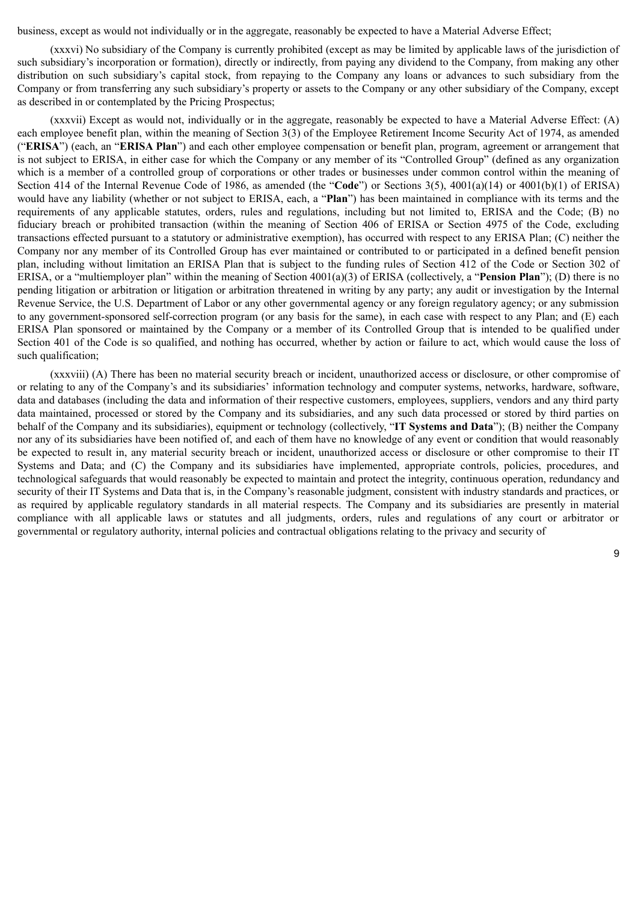business, except as would not individually or in the aggregate, reasonably be expected to have a Material Adverse Effect;

(xxxvi) No subsidiary of the Company is currently prohibited (except as may be limited by applicable laws of the jurisdiction of such subsidiary's incorporation or formation), directly or indirectly, from paying any dividend to the Company, from making any other distribution on such subsidiary's capital stock, from repaying to the Company any loans or advances to such subsidiary from the Company or from transferring any such subsidiary's property or assets to the Company or any other subsidiary of the Company, except as described in or contemplated by the Pricing Prospectus;

(xxxvii) Except as would not, individually or in the aggregate, reasonably be expected to have a Material Adverse Effect: (A) each employee benefit plan, within the meaning of Section 3(3) of the Employee Retirement Income Security Act of 1974, as amended ("**ERISA**") (each, an "**ERISA Plan**") and each other employee compensation or benefit plan, program, agreement or arrangement that is not subject to ERISA, in either case for which the Company or any member of its "Controlled Group" (defined as any organization which is a member of a controlled group of corporations or other trades or businesses under common control within the meaning of Section 414 of the Internal Revenue Code of 1986, as amended (the "**Code**") or Sections 3(5), 4001(a)(14) or 4001(b)(1) of ERISA) would have any liability (whether or not subject to ERISA, each, a "**Plan**") has been maintained in compliance with its terms and the requirements of any applicable statutes, orders, rules and regulations, including but not limited to, ERISA and the Code; (B) no fiduciary breach or prohibited transaction (within the meaning of Section 406 of ERISA or Section 4975 of the Code, excluding transactions effected pursuant to a statutory or administrative exemption), has occurred with respect to any ERISA Plan; (C) neither the Company nor any member of its Controlled Group has ever maintained or contributed to or participated in a defined benefit pension plan, including without limitation an ERISA Plan that is subject to the funding rules of Section 412 of the Code or Section 302 of ERISA, or a "multiemployer plan" within the meaning of Section 4001(a)(3) of ERISA (collectively, a "**Pension Plan**"); (D) there is no pending litigation or arbitration or litigation or arbitration threatened in writing by any party; any audit or investigation by the Internal Revenue Service, the U.S. Department of Labor or any other governmental agency or any foreign regulatory agency; or any submission to any government-sponsored self-correction program (or any basis for the same), in each case with respect to any Plan; and (E) each ERISA Plan sponsored or maintained by the Company or a member of its Controlled Group that is intended to be qualified under Section 401 of the Code is so qualified, and nothing has occurred, whether by action or failure to act, which would cause the loss of such qualification;

(xxxviii) (A) There has been no material security breach or incident, unauthorized access or disclosure, or other compromise of or relating to any of the Company's and its subsidiaries' information technology and computer systems, networks, hardware, software, data and databases (including the data and information of their respective customers, employees, suppliers, vendors and any third party data maintained, processed or stored by the Company and its subsidiaries, and any such data processed or stored by third parties on behalf of the Company and its subsidiaries), equipment or technology (collectively, "**IT Systems and Data**"); (B) neither the Company nor any of its subsidiaries have been notified of, and each of them have no knowledge of any event or condition that would reasonably be expected to result in, any material security breach or incident, unauthorized access or disclosure or other compromise to their IT Systems and Data; and (C) the Company and its subsidiaries have implemented, appropriate controls, policies, procedures, and technological safeguards that would reasonably be expected to maintain and protect the integrity, continuous operation, redundancy and security of their IT Systems and Data that is, in the Company's reasonable judgment, consistent with industry standards and practices, or as required by applicable regulatory standards in all material respects. The Company and its subsidiaries are presently in material compliance with all applicable laws or statutes and all judgments, orders, rules and regulations of any court or arbitrator or governmental or regulatory authority, internal policies and contractual obligations relating to the privacy and security of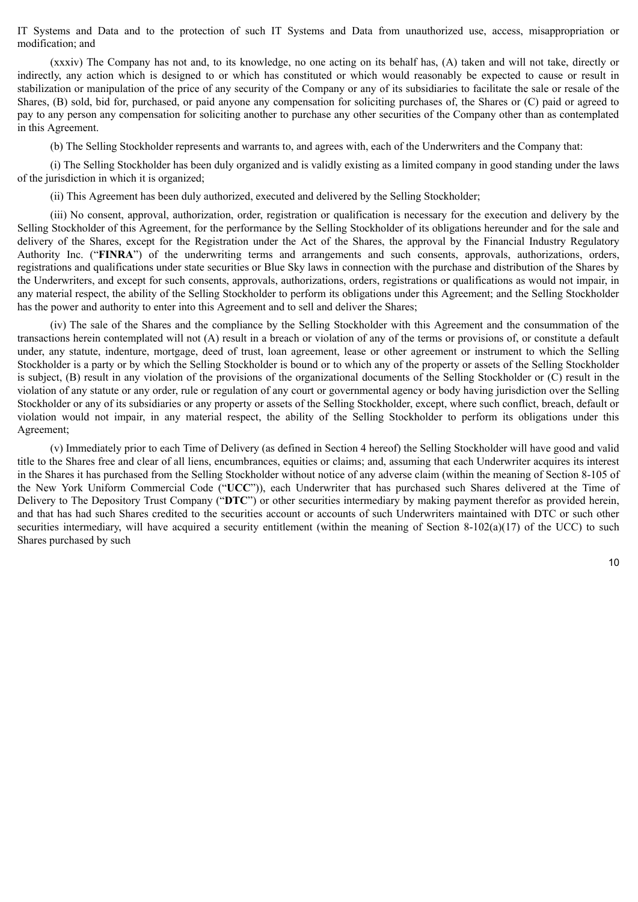IT Systems and Data and to the protection of such IT Systems and Data from unauthorized use, access, misappropriation or modification; and

(xxxiv) The Company has not and, to its knowledge, no one acting on its behalf has, (A) taken and will not take, directly or indirectly, any action which is designed to or which has constituted or which would reasonably be expected to cause or result in stabilization or manipulation of the price of any security of the Company or any of its subsidiaries to facilitate the sale or resale of the Shares, (B) sold, bid for, purchased, or paid anyone any compensation for soliciting purchases of, the Shares or (C) paid or agreed to pay to any person any compensation for soliciting another to purchase any other securities of the Company other than as contemplated in this Agreement.

(b) The Selling Stockholder represents and warrants to, and agrees with, each of the Underwriters and the Company that:

(i) The Selling Stockholder has been duly organized and is validly existing as a limited company in good standing under the laws of the jurisdiction in which it is organized;

(ii) This Agreement has been duly authorized, executed and delivered by the Selling Stockholder;

(iii) No consent, approval, authorization, order, registration or qualification is necessary for the execution and delivery by the Selling Stockholder of this Agreement, for the performance by the Selling Stockholder of its obligations hereunder and for the sale and delivery of the Shares, except for the Registration under the Act of the Shares, the approval by the Financial Industry Regulatory Authority Inc. ("**FINRA**") of the underwriting terms and arrangements and such consents, approvals, authorizations, orders, registrations and qualifications under state securities or Blue Sky laws in connection with the purchase and distribution of the Shares by the Underwriters, and except for such consents, approvals, authorizations, orders, registrations or qualifications as would not impair, in any material respect, the ability of the Selling Stockholder to perform its obligations under this Agreement; and the Selling Stockholder has the power and authority to enter into this Agreement and to sell and deliver the Shares;

(iv) The sale of the Shares and the compliance by the Selling Stockholder with this Agreement and the consummation of the transactions herein contemplated will not (A) result in a breach or violation of any of the terms or provisions of, or constitute a default under, any statute, indenture, mortgage, deed of trust, loan agreement, lease or other agreement or instrument to which the Selling Stockholder is a party or by which the Selling Stockholder is bound or to which any of the property or assets of the Selling Stockholder is subject, (B) result in any violation of the provisions of the organizational documents of the Selling Stockholder or (C) result in the violation of any statute or any order, rule or regulation of any court or governmental agency or body having jurisdiction over the Selling Stockholder or any of its subsidiaries or any property or assets of the Selling Stockholder, except, where such conflict, breach, default or violation would not impair, in any material respect, the ability of the Selling Stockholder to perform its obligations under this Agreement;

(v) Immediately prior to each Time of Delivery (as defined in Section 4 hereof) the Selling Stockholder will have good and valid title to the Shares free and clear of all liens, encumbrances, equities or claims; and, assuming that each Underwriter acquires its interest in the Shares it has purchased from the Selling Stockholder without notice of any adverse claim (within the meaning of Section 8-105 of the New York Uniform Commercial Code ("**UCC**")), each Underwriter that has purchased such Shares delivered at the Time of Delivery to The Depository Trust Company ("**DTC**") or other securities intermediary by making payment therefor as provided herein, and that has had such Shares credited to the securities account or accounts of such Underwriters maintained with DTC or such other securities intermediary, will have acquired a security entitlement (within the meaning of Section 8-102(a)(17) of the UCC) to such Shares purchased by such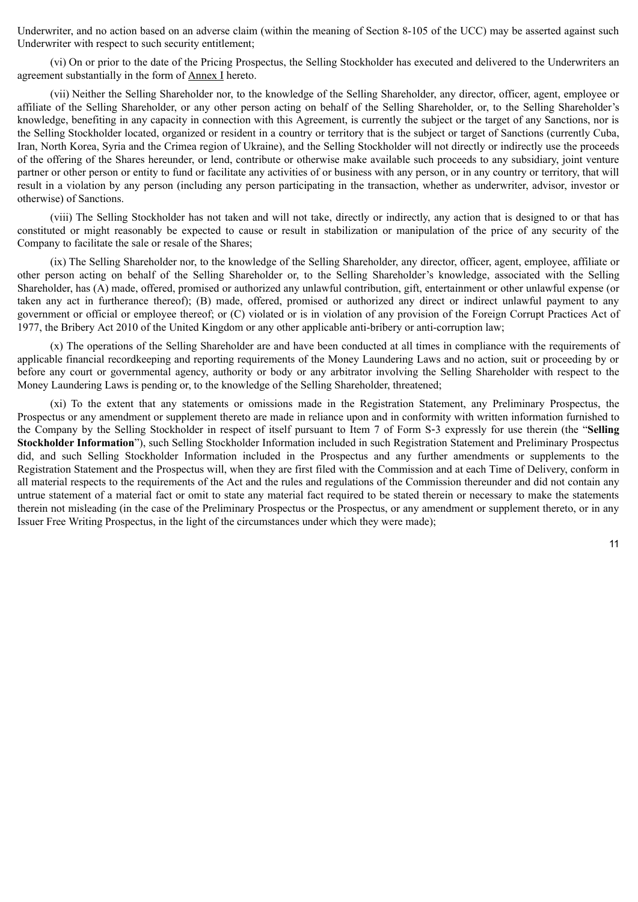Underwriter, and no action based on an adverse claim (within the meaning of Section 8-105 of the UCC) may be asserted against such Underwriter with respect to such security entitlement;

(vi) On or prior to the date of the Pricing Prospectus, the Selling Stockholder has executed and delivered to the Underwriters an agreement substantially in the form of Annex I hereto.

(vii) Neither the Selling Shareholder nor, to the knowledge of the Selling Shareholder, any director, officer, agent, employee or affiliate of the Selling Shareholder, or any other person acting on behalf of the Selling Shareholder, or, to the Selling Shareholder's knowledge, benefiting in any capacity in connection with this Agreement, is currently the subject or the target of any Sanctions, nor is the Selling Stockholder located, organized or resident in a country or territory that is the subject or target of Sanctions (currently Cuba, Iran, North Korea, Syria and the Crimea region of Ukraine), and the Selling Stockholder will not directly or indirectly use the proceeds of the offering of the Shares hereunder, or lend, contribute or otherwise make available such proceeds to any subsidiary, joint venture partner or other person or entity to fund or facilitate any activities of or business with any person, or in any country or territory, that will result in a violation by any person (including any person participating in the transaction, whether as underwriter, advisor, investor or otherwise) of Sanctions.

(viii) The Selling Stockholder has not taken and will not take, directly or indirectly, any action that is designed to or that has constituted or might reasonably be expected to cause or result in stabilization or manipulation of the price of any security of the Company to facilitate the sale or resale of the Shares;

(ix) The Selling Shareholder nor, to the knowledge of the Selling Shareholder, any director, officer, agent, employee, affiliate or other person acting on behalf of the Selling Shareholder or, to the Selling Shareholder's knowledge, associated with the Selling Shareholder, has (A) made, offered, promised or authorized any unlawful contribution, gift, entertainment or other unlawful expense (or taken any act in furtherance thereof); (B) made, offered, promised or authorized any direct or indirect unlawful payment to any government or official or employee thereof; or (C) violated or is in violation of any provision of the Foreign Corrupt Practices Act of 1977, the Bribery Act 2010 of the United Kingdom or any other applicable anti-bribery or anti-corruption law;

(x) The operations of the Selling Shareholder are and have been conducted at all times in compliance with the requirements of applicable financial recordkeeping and reporting requirements of the Money Laundering Laws and no action, suit or proceeding by or before any court or governmental agency, authority or body or any arbitrator involving the Selling Shareholder with respect to the Money Laundering Laws is pending or, to the knowledge of the Selling Shareholder, threatened;

(xi) To the extent that any statements or omissions made in the Registration Statement, any Preliminary Prospectus, the Prospectus or any amendment or supplement thereto are made in reliance upon and in conformity with written information furnished to the Company by the Selling Stockholder in respect of itself pursuant to Item 7 of Form S‑3 expressly for use therein (the "**Selling Stockholder Information**"), such Selling Stockholder Information included in such Registration Statement and Preliminary Prospectus did, and such Selling Stockholder Information included in the Prospectus and any further amendments or supplements to the Registration Statement and the Prospectus will, when they are first filed with the Commission and at each Time of Delivery, conform in all material respects to the requirements of the Act and the rules and regulations of the Commission thereunder and did not contain any untrue statement of a material fact or omit to state any material fact required to be stated therein or necessary to make the statements therein not misleading (in the case of the Preliminary Prospectus or the Prospectus, or any amendment or supplement thereto, or in any Issuer Free Writing Prospectus, in the light of the circumstances under which they were made);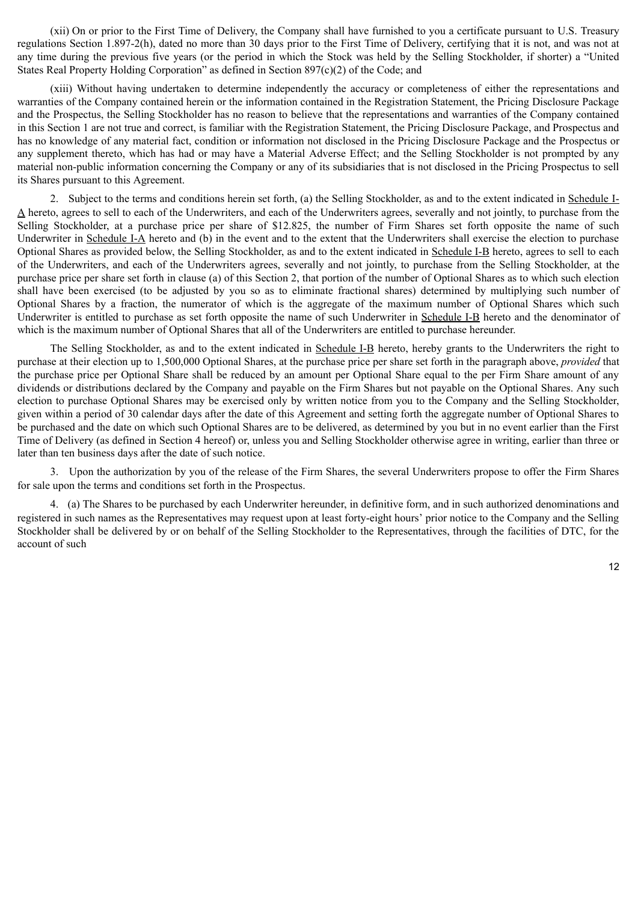(xii) On or prior to the First Time of Delivery, the Company shall have furnished to you a certificate pursuant to U.S. Treasury regulations Section 1.897-2(h), dated no more than 30 days prior to the First Time of Delivery, certifying that it is not, and was not at any time during the previous five years (or the period in which the Stock was held by the Selling Stockholder, if shorter) a "United States Real Property Holding Corporation" as defined in Section 897(c)(2) of the Code; and

(xiii) Without having undertaken to determine independently the accuracy or completeness of either the representations and warranties of the Company contained herein or the information contained in the Registration Statement, the Pricing Disclosure Package and the Prospectus, the Selling Stockholder has no reason to believe that the representations and warranties of the Company contained in this Section 1 are not true and correct, is familiar with the Registration Statement, the Pricing Disclosure Package, and Prospectus and has no knowledge of any material fact, condition or information not disclosed in the Pricing Disclosure Package and the Prospectus or any supplement thereto, which has had or may have a Material Adverse Effect; and the Selling Stockholder is not prompted by any material non-public information concerning the Company or any of its subsidiaries that is not disclosed in the Pricing Prospectus to sell its Shares pursuant to this Agreement.

2. Subject to the terms and conditions herein set forth, (a) the Selling Stockholder, as and to the extent indicated in Schedule I-A hereto, agrees to sell to each of the Underwriters, and each of the Underwriters agrees, severally and not jointly, to purchase from the Selling Stockholder, at a purchase price per share of \$12.825, the number of Firm Shares set forth opposite the name of such Underwriter in Schedule I-A hereto and (b) in the event and to the extent that the Underwriters shall exercise the election to purchase Optional Shares as provided below, the Selling Stockholder, as and to the extent indicated in Schedule I-B hereto, agrees to sell to each of the Underwriters, and each of the Underwriters agrees, severally and not jointly, to purchase from the Selling Stockholder, at the purchase price per share set forth in clause (a) of this Section 2, that portion of the number of Optional Shares as to which such election shall have been exercised (to be adjusted by you so as to eliminate fractional shares) determined by multiplying such number of Optional Shares by a fraction, the numerator of which is the aggregate of the maximum number of Optional Shares which such Underwriter is entitled to purchase as set forth opposite the name of such Underwriter in Schedule I-B hereto and the denominator of which is the maximum number of Optional Shares that all of the Underwriters are entitled to purchase hereunder.

The Selling Stockholder, as and to the extent indicated in Schedule I-B hereto, hereby grants to the Underwriters the right to purchase at their election up to 1,500,000 Optional Shares, at the purchase price per share set forth in the paragraph above, *provided* that the purchase price per Optional Share shall be reduced by an amount per Optional Share equal to the per Firm Share amount of any dividends or distributions declared by the Company and payable on the Firm Shares but not payable on the Optional Shares. Any such election to purchase Optional Shares may be exercised only by written notice from you to the Company and the Selling Stockholder, given within a period of 30 calendar days after the date of this Agreement and setting forth the aggregate number of Optional Shares to be purchased and the date on which such Optional Shares are to be delivered, as determined by you but in no event earlier than the First Time of Delivery (as defined in Section 4 hereof) or, unless you and Selling Stockholder otherwise agree in writing, earlier than three or later than ten business days after the date of such notice.

3. Upon the authorization by you of the release of the Firm Shares, the several Underwriters propose to offer the Firm Shares for sale upon the terms and conditions set forth in the Prospectus.

4. (a) The Shares to be purchased by each Underwriter hereunder, in definitive form, and in such authorized denominations and registered in such names as the Representatives may request upon at least forty-eight hours' prior notice to the Company and the Selling Stockholder shall be delivered by or on behalf of the Selling Stockholder to the Representatives, through the facilities of DTC, for the account of such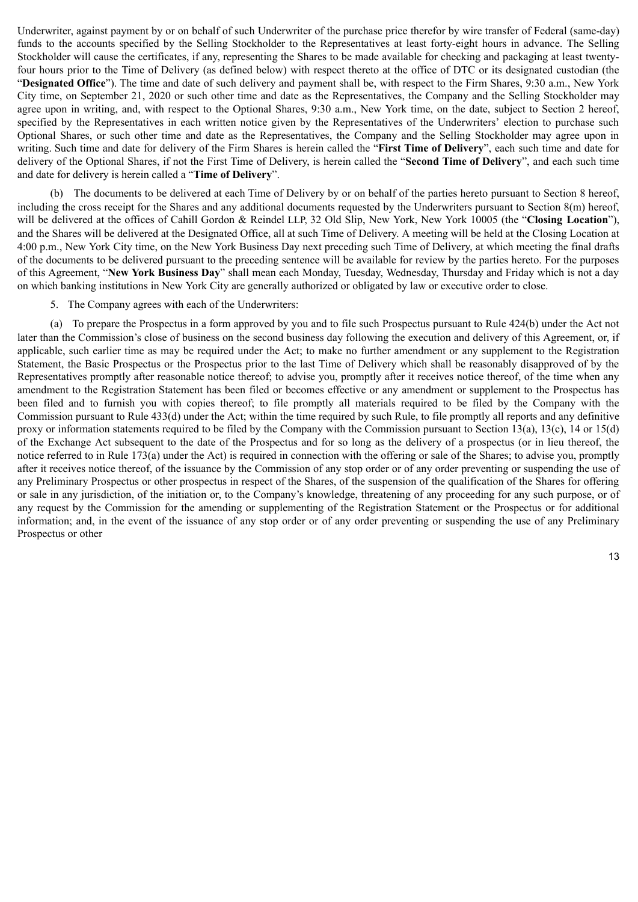Underwriter, against payment by or on behalf of such Underwriter of the purchase price therefor by wire transfer of Federal (same-day) funds to the accounts specified by the Selling Stockholder to the Representatives at least forty-eight hours in advance. The Selling Stockholder will cause the certificates, if any, representing the Shares to be made available for checking and packaging at least twentyfour hours prior to the Time of Delivery (as defined below) with respect thereto at the office of DTC or its designated custodian (the "**Designated Office**"). The time and date of such delivery and payment shall be, with respect to the Firm Shares, 9:30 a.m., New York City time, on September 21, 2020 or such other time and date as the Representatives, the Company and the Selling Stockholder may agree upon in writing, and, with respect to the Optional Shares, 9:30 a.m., New York time, on the date, subject to Section 2 hereof, specified by the Representatives in each written notice given by the Representatives of the Underwriters' election to purchase such Optional Shares, or such other time and date as the Representatives, the Company and the Selling Stockholder may agree upon in writing. Such time and date for delivery of the Firm Shares is herein called the "**First Time of Delivery**", each such time and date for delivery of the Optional Shares, if not the First Time of Delivery, is herein called the "**Second Time of Delivery**", and each such time and date for delivery is herein called a "**Time of Delivery**".

(b) The documents to be delivered at each Time of Delivery by or on behalf of the parties hereto pursuant to Section 8 hereof, including the cross receipt for the Shares and any additional documents requested by the Underwriters pursuant to Section 8(m) hereof, will be delivered at the offices of Cahill Gordon & Reindel LLP, 32 Old Slip, New York, New York 10005 (the "**Closing Location**"), and the Shares will be delivered at the Designated Office, all at such Time of Delivery. A meeting will be held at the Closing Location at 4:00 p.m., New York City time, on the New York Business Day next preceding such Time of Delivery, at which meeting the final drafts of the documents to be delivered pursuant to the preceding sentence will be available for review by the parties hereto. For the purposes of this Agreement, "**New York Business Day**" shall mean each Monday, Tuesday, Wednesday, Thursday and Friday which is not a day on which banking institutions in New York City are generally authorized or obligated by law or executive order to close.

5. The Company agrees with each of the Underwriters:

(a) To prepare the Prospectus in a form approved by you and to file such Prospectus pursuant to Rule 424(b) under the Act not later than the Commission's close of business on the second business day following the execution and delivery of this Agreement, or, if applicable, such earlier time as may be required under the Act; to make no further amendment or any supplement to the Registration Statement, the Basic Prospectus or the Prospectus prior to the last Time of Delivery which shall be reasonably disapproved of by the Representatives promptly after reasonable notice thereof; to advise you, promptly after it receives notice thereof, of the time when any amendment to the Registration Statement has been filed or becomes effective or any amendment or supplement to the Prospectus has been filed and to furnish you with copies thereof; to file promptly all materials required to be filed by the Company with the Commission pursuant to Rule 433(d) under the Act; within the time required by such Rule, to file promptly all reports and any definitive proxy or information statements required to be filed by the Company with the Commission pursuant to Section 13(a), 13(c), 14 or 15(d) of the Exchange Act subsequent to the date of the Prospectus and for so long as the delivery of a prospectus (or in lieu thereof, the notice referred to in Rule 173(a) under the Act) is required in connection with the offering or sale of the Shares; to advise you, promptly after it receives notice thereof, of the issuance by the Commission of any stop order or of any order preventing or suspending the use of any Preliminary Prospectus or other prospectus in respect of the Shares, of the suspension of the qualification of the Shares for offering or sale in any jurisdiction, of the initiation or, to the Company's knowledge, threatening of any proceeding for any such purpose, or of any request by the Commission for the amending or supplementing of the Registration Statement or the Prospectus or for additional information; and, in the event of the issuance of any stop order or of any order preventing or suspending the use of any Preliminary Prospectus or other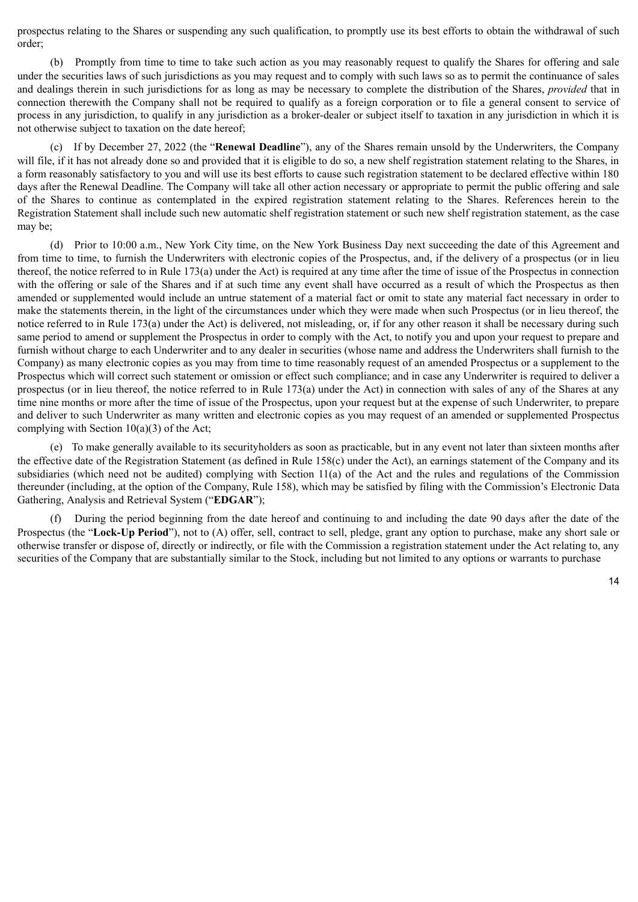prospectus relating to the Shares or suspending any such qualification, to promptly use its best efforts to obtain the withdrawal of such order;

(b) Promptly from time to time to take such action as you may reasonably request to qualify the Shares for offering and sale under the securities laws of such jurisdictions as you may request and to comply with such laws so as to permit the continuance of sales and dealings therein in such jurisdictions for as long as may be necessary to complete the distribution of the Shares, *provided* that in connection therewith the Company shall not be required to qualify as a foreign corporation or to file a general consent to service of process in any jurisdiction, to qualify in any jurisdiction as a broker-dealer or subject itself to taxation in any jurisdiction in which it is not otherwise subject to taxation on the date hereof;

(c) If by December 27, 2022 (the "**Renewal Deadline**"), any of the Shares remain unsold by the Underwriters, the Company will file, if it has not already done so and provided that it is eligible to do so, a new shelf registration statement relating to the Shares, in a form reasonably satisfactory to you and will use its best efforts to cause such registration statement to be declared effective within 180 days after the Renewal Deadline. The Company will take all other action necessary or appropriate to permit the public offering and sale of the Shares to continue as contemplated in the expired registration statement relating to the Shares. References herein to the Registration Statement shall include such new automatic shelf registration statement or such new shelf registration statement, as the case may be;

(d) Prior to 10:00 a.m., New York City time, on the New York Business Day next succeeding the date of this Agreement and from time to time, to furnish the Underwriters with electronic copies of the Prospectus, and, if the delivery of a prospectus (or in lieu thereof, the notice referred to in Rule 173(a) under the Act) is required at any time after the time of issue of the Prospectus in connection with the offering or sale of the Shares and if at such time any event shall have occurred as a result of which the Prospectus as then amended or supplemented would include an untrue statement of a material fact or omit to state any material fact necessary in order to make the statements therein, in the light of the circumstances under which they were made when such Prospectus (or in lieu thereof, the notice referred to in Rule 173(a) under the Act) is delivered, not misleading, or, if for any other reason it shall be necessary during such same period to amend or supplement the Prospectus in order to comply with the Act, to notify you and upon your request to prepare and furnish without charge to each Underwriter and to any dealer in securities (whose name and address the Underwriters shall furnish to the Company) as many electronic copies as you may from time to time reasonably request of an amended Prospectus or a supplement to the Prospectus which will correct such statement or omission or effect such compliance; and in case any Underwriter is required to deliver a prospectus (or in lieu thereof, the notice referred to in Rule 173(a) under the Act) in connection with sales of any of the Shares at any time nine months or more after the time of issue of the Prospectus, upon your request but at the expense of such Underwriter, to prepare and deliver to such Underwriter as many written and electronic copies as you may request of an amended or supplemented Prospectus complying with Section 10(a)(3) of the Act;

(e) To make generally available to its securityholders as soon as practicable, but in any event not later than sixteen months after the effective date of the Registration Statement (as defined in Rule 158(c) under the Act), an earnings statement of the Company and its subsidiaries (which need not be audited) complying with Section 11(a) of the Act and the rules and regulations of the Commission thereunder (including, at the option of the Company, Rule 158), which may be satisfied by filing with the Commission's Electronic Data Gathering, Analysis and Retrieval System ("**EDGAR**");

(f) During the period beginning from the date hereof and continuing to and including the date 90 days after the date of the Prospectus (the "**Lock-Up Period**"), not to (A) offer, sell, contract to sell, pledge, grant any option to purchase, make any short sale or otherwise transfer or dispose of, directly or indirectly, or file with the Commission a registration statement under the Act relating to, any securities of the Company that are substantially similar to the Stock, including but not limited to any options or warrants to purchase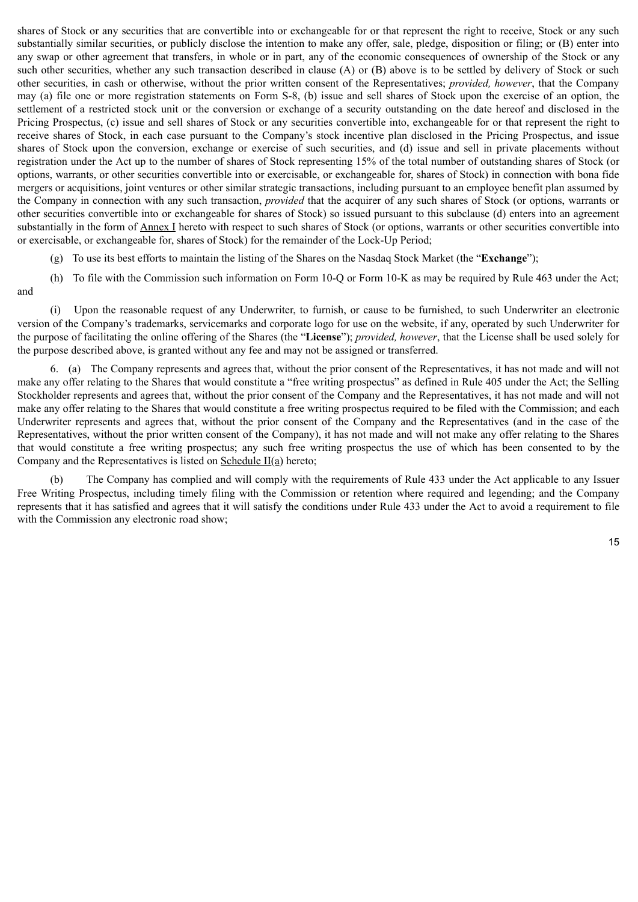shares of Stock or any securities that are convertible into or exchangeable for or that represent the right to receive, Stock or any such substantially similar securities, or publicly disclose the intention to make any offer, sale, pledge, disposition or filing; or (B) enter into any swap or other agreement that transfers, in whole or in part, any of the economic consequences of ownership of the Stock or any such other securities, whether any such transaction described in clause (A) or (B) above is to be settled by delivery of Stock or such other securities, in cash or otherwise, without the prior written consent of the Representatives; *provided, however*, that the Company may (a) file one or more registration statements on Form S-8, (b) issue and sell shares of Stock upon the exercise of an option, the settlement of a restricted stock unit or the conversion or exchange of a security outstanding on the date hereof and disclosed in the Pricing Prospectus, (c) issue and sell shares of Stock or any securities convertible into, exchangeable for or that represent the right to receive shares of Stock, in each case pursuant to the Company's stock incentive plan disclosed in the Pricing Prospectus, and issue shares of Stock upon the conversion, exchange or exercise of such securities, and (d) issue and sell in private placements without registration under the Act up to the number of shares of Stock representing 15% of the total number of outstanding shares of Stock (or options, warrants, or other securities convertible into or exercisable, or exchangeable for, shares of Stock) in connection with bona fide mergers or acquisitions, joint ventures or other similar strategic transactions, including pursuant to an employee benefit plan assumed by the Company in connection with any such transaction, *provided* that the acquirer of any such shares of Stock (or options, warrants or other securities convertible into or exchangeable for shares of Stock) so issued pursuant to this subclause (d) enters into an agreement substantially in the form of **Annex I** hereto with respect to such shares of Stock (or options, warrants or other securities convertible into or exercisable, or exchangeable for, shares of Stock) for the remainder of the Lock-Up Period;

(g) To use its best efforts to maintain the listing of the Shares on the Nasdaq Stock Market (the "**Exchange**");

(h) To file with the Commission such information on Form 10-Q or Form 10-K as may be required by Rule 463 under the Act; and

(i) Upon the reasonable request of any Underwriter, to furnish, or cause to be furnished, to such Underwriter an electronic version of the Company's trademarks, servicemarks and corporate logo for use on the website, if any, operated by such Underwriter for the purpose of facilitating the online offering of the Shares (the "**License**"); *provided, however*, that the License shall be used solely for the purpose described above, is granted without any fee and may not be assigned or transferred.

6. (a) The Company represents and agrees that, without the prior consent of the Representatives, it has not made and will not make any offer relating to the Shares that would constitute a "free writing prospectus" as defined in Rule 405 under the Act; the Selling Stockholder represents and agrees that, without the prior consent of the Company and the Representatives, it has not made and will not make any offer relating to the Shares that would constitute a free writing prospectus required to be filed with the Commission; and each Underwriter represents and agrees that, without the prior consent of the Company and the Representatives (and in the case of the Representatives, without the prior written consent of the Company), it has not made and will not make any offer relating to the Shares that would constitute a free writing prospectus; any such free writing prospectus the use of which has been consented to by the Company and the Representatives is listed on  $S$ chedule  $II(a)$  hereto;

(b) The Company has complied and will comply with the requirements of Rule 433 under the Act applicable to any Issuer Free Writing Prospectus, including timely filing with the Commission or retention where required and legending; and the Company represents that it has satisfied and agrees that it will satisfy the conditions under Rule 433 under the Act to avoid a requirement to file with the Commission any electronic road show;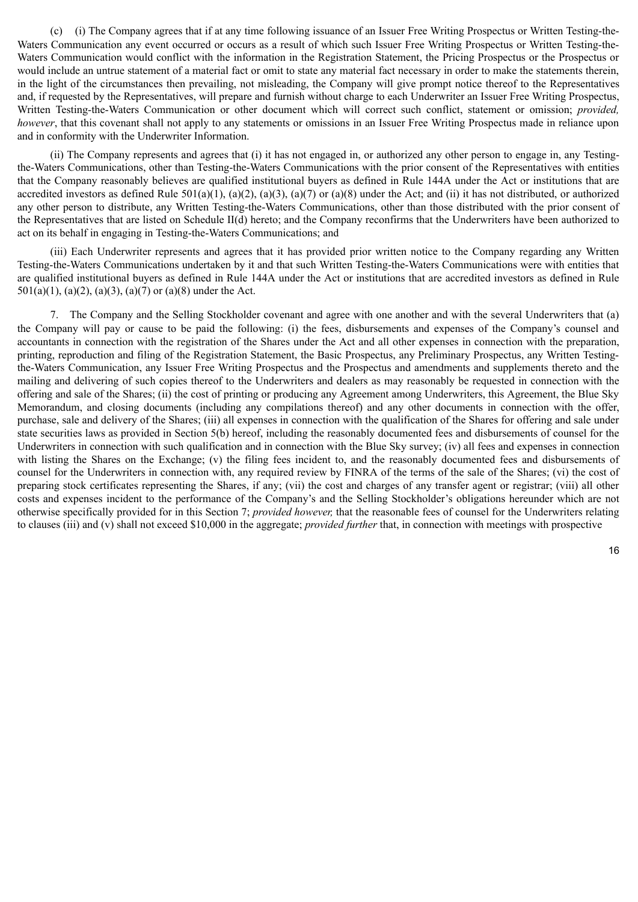(c) (i) The Company agrees that if at any time following issuance of an Issuer Free Writing Prospectus or Written Testing-the-Waters Communication any event occurred or occurs as a result of which such Issuer Free Writing Prospectus or Written Testing-the-Waters Communication would conflict with the information in the Registration Statement, the Pricing Prospectus or the Prospectus or would include an untrue statement of a material fact or omit to state any material fact necessary in order to make the statements therein, in the light of the circumstances then prevailing, not misleading, the Company will give prompt notice thereof to the Representatives and, if requested by the Representatives, will prepare and furnish without charge to each Underwriter an Issuer Free Writing Prospectus, Written Testing-the-Waters Communication or other document which will correct such conflict, statement or omission; *provided, however*, that this covenant shall not apply to any statements or omissions in an Issuer Free Writing Prospectus made in reliance upon and in conformity with the Underwriter Information.

(ii) The Company represents and agrees that (i) it has not engaged in, or authorized any other person to engage in, any Testingthe-Waters Communications, other than Testing-the-Waters Communications with the prior consent of the Representatives with entities that the Company reasonably believes are qualified institutional buyers as defined in Rule 144A under the Act or institutions that are accredited investors as defined Rule 501(a)(1), (a)(2), (a)(3), (a)(7) or (a)(8) under the Act; and (ii) it has not distributed, or authorized any other person to distribute, any Written Testing-the-Waters Communications, other than those distributed with the prior consent of the Representatives that are listed on Schedule II(d) hereto; and the Company reconfirms that the Underwriters have been authorized to act on its behalf in engaging in Testing-the-Waters Communications; and

(iii) Each Underwriter represents and agrees that it has provided prior written notice to the Company regarding any Written Testing-the-Waters Communications undertaken by it and that such Written Testing-the-Waters Communications were with entities that are qualified institutional buyers as defined in Rule 144A under the Act or institutions that are accredited investors as defined in Rule 501(a)(1), (a)(2), (a)(3), (a)(7) or (a)(8) under the Act.

7. The Company and the Selling Stockholder covenant and agree with one another and with the several Underwriters that (a) the Company will pay or cause to be paid the following: (i) the fees, disbursements and expenses of the Company's counsel and accountants in connection with the registration of the Shares under the Act and all other expenses in connection with the preparation, printing, reproduction and filing of the Registration Statement, the Basic Prospectus, any Preliminary Prospectus, any Written Testingthe-Waters Communication, any Issuer Free Writing Prospectus and the Prospectus and amendments and supplements thereto and the mailing and delivering of such copies thereof to the Underwriters and dealers as may reasonably be requested in connection with the offering and sale of the Shares; (ii) the cost of printing or producing any Agreement among Underwriters, this Agreement, the Blue Sky Memorandum, and closing documents (including any compilations thereof) and any other documents in connection with the offer, purchase, sale and delivery of the Shares; (iii) all expenses in connection with the qualification of the Shares for offering and sale under state securities laws as provided in Section 5(b) hereof, including the reasonably documented fees and disbursements of counsel for the Underwriters in connection with such qualification and in connection with the Blue Sky survey; (iv) all fees and expenses in connection with listing the Shares on the Exchange; (v) the filing fees incident to, and the reasonably documented fees and disbursements of counsel for the Underwriters in connection with, any required review by FINRA of the terms of the sale of the Shares; (vi) the cost of preparing stock certificates representing the Shares, if any; (vii) the cost and charges of any transfer agent or registrar; (viii) all other costs and expenses incident to the performance of the Company's and the Selling Stockholder's obligations hereunder which are not otherwise specifically provided for in this Section 7; *provided however,* that the reasonable fees of counsel for the Underwriters relating to clauses (iii) and (v) shall not exceed \$10,000 in the aggregate; *provided further* that, in connection with meetings with prospective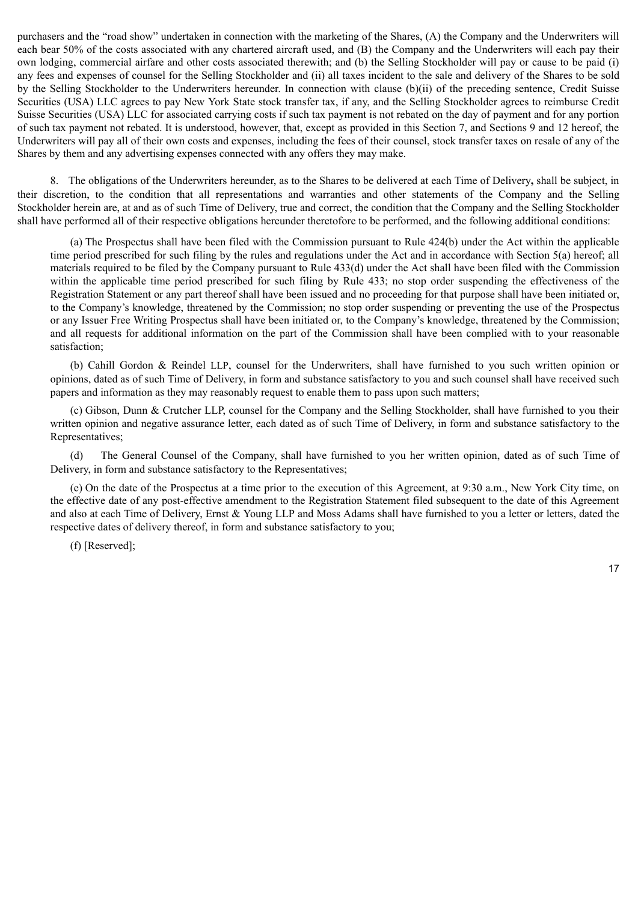purchasers and the "road show" undertaken in connection with the marketing of the Shares, (A) the Company and the Underwriters will each bear 50% of the costs associated with any chartered aircraft used, and (B) the Company and the Underwriters will each pay their own lodging, commercial airfare and other costs associated therewith; and (b) the Selling Stockholder will pay or cause to be paid (i) any fees and expenses of counsel for the Selling Stockholder and (ii) all taxes incident to the sale and delivery of the Shares to be sold by the Selling Stockholder to the Underwriters hereunder. In connection with clause (b)(ii) of the preceding sentence, Credit Suisse Securities (USA) LLC agrees to pay New York State stock transfer tax, if any, and the Selling Stockholder agrees to reimburse Credit Suisse Securities (USA) LLC for associated carrying costs if such tax payment is not rebated on the day of payment and for any portion of such tax payment not rebated. It is understood, however, that, except as provided in this Section 7, and Sections 9 and 12 hereof, the Underwriters will pay all of their own costs and expenses, including the fees of their counsel, stock transfer taxes on resale of any of the Shares by them and any advertising expenses connected with any offers they may make.

8. The obligations of the Underwriters hereunder, as to the Shares to be delivered at each Time of Delivery**,** shall be subject, in their discretion, to the condition that all representations and warranties and other statements of the Company and the Selling Stockholder herein are, at and as of such Time of Delivery, true and correct, the condition that the Company and the Selling Stockholder shall have performed all of their respective obligations hereunder theretofore to be performed, and the following additional conditions:

(a) The Prospectus shall have been filed with the Commission pursuant to Rule 424(b) under the Act within the applicable time period prescribed for such filing by the rules and regulations under the Act and in accordance with Section 5(a) hereof; all materials required to be filed by the Company pursuant to Rule 433(d) under the Act shall have been filed with the Commission within the applicable time period prescribed for such filing by Rule 433; no stop order suspending the effectiveness of the Registration Statement or any part thereof shall have been issued and no proceeding for that purpose shall have been initiated or, to the Company's knowledge, threatened by the Commission; no stop order suspending or preventing the use of the Prospectus or any Issuer Free Writing Prospectus shall have been initiated or, to the Company's knowledge, threatened by the Commission; and all requests for additional information on the part of the Commission shall have been complied with to your reasonable satisfaction;

(b) Cahill Gordon & Reindel LLP, counsel for the Underwriters, shall have furnished to you such written opinion or opinions, dated as of such Time of Delivery, in form and substance satisfactory to you and such counsel shall have received such papers and information as they may reasonably request to enable them to pass upon such matters;

(c) Gibson, Dunn & Crutcher LLP, counsel for the Company and the Selling Stockholder, shall have furnished to you their written opinion and negative assurance letter, each dated as of such Time of Delivery, in form and substance satisfactory to the Representatives;

(d) The General Counsel of the Company, shall have furnished to you her written opinion, dated as of such Time of Delivery, in form and substance satisfactory to the Representatives;

(e) On the date of the Prospectus at a time prior to the execution of this Agreement, at 9:30 a.m., New York City time, on the effective date of any post-effective amendment to the Registration Statement filed subsequent to the date of this Agreement and also at each Time of Delivery, Ernst  $\&$  Young LLP and Moss Adams shall have furnished to you a letter or letters, dated the respective dates of delivery thereof, in form and substance satisfactory to you;

(f) [Reserved];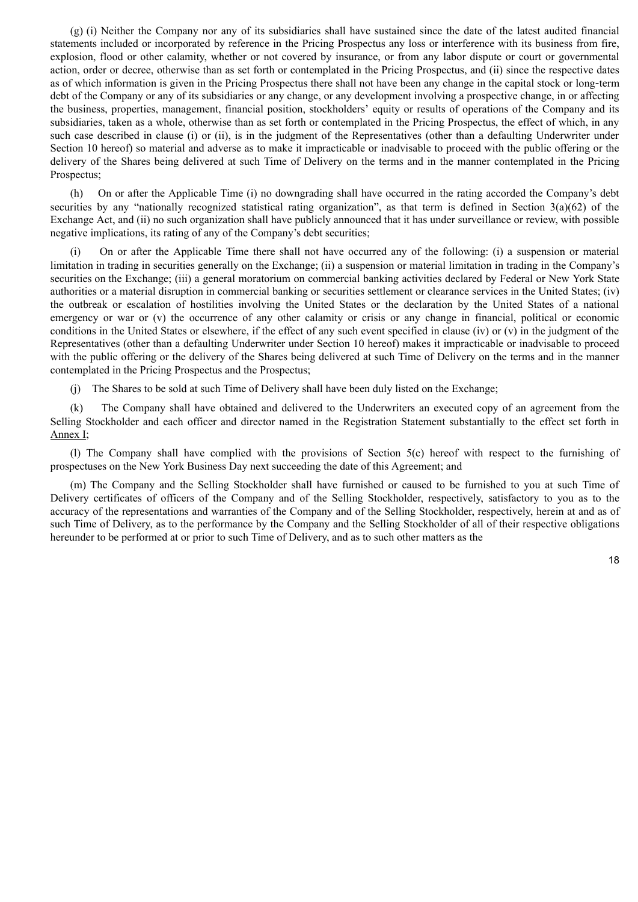(g) (i) Neither the Company nor any of its subsidiaries shall have sustained since the date of the latest audited financial statements included or incorporated by reference in the Pricing Prospectus any loss or interference with its business from fire, explosion, flood or other calamity, whether or not covered by insurance, or from any labor dispute or court or governmental action, order or decree, otherwise than as set forth or contemplated in the Pricing Prospectus, and (ii) since the respective dates as of which information is given in the Pricing Prospectus there shall not have been any change in the capital stock or long-term debt of the Company or any of its subsidiaries or any change, or any development involving a prospective change, in or affecting the business, properties, management, financial position, stockholders' equity or results of operations of the Company and its subsidiaries, taken as a whole, otherwise than as set forth or contemplated in the Pricing Prospectus, the effect of which, in any such case described in clause (i) or (ii), is in the judgment of the Representatives (other than a defaulting Underwriter under Section 10 hereof) so material and adverse as to make it impracticable or inadvisable to proceed with the public offering or the delivery of the Shares being delivered at such Time of Delivery on the terms and in the manner contemplated in the Pricing Prospectus;

(h) On or after the Applicable Time (i) no downgrading shall have occurred in the rating accorded the Company's debt securities by any "nationally recognized statistical rating organization", as that term is defined in Section 3(a)(62) of the Exchange Act, and (ii) no such organization shall have publicly announced that it has under surveillance or review, with possible negative implications, its rating of any of the Company's debt securities;

(i) On or after the Applicable Time there shall not have occurred any of the following: (i) a suspension or material limitation in trading in securities generally on the Exchange; (ii) a suspension or material limitation in trading in the Company's securities on the Exchange; (iii) a general moratorium on commercial banking activities declared by Federal or New York State authorities or a material disruption in commercial banking or securities settlement or clearance services in the United States; (iv) the outbreak or escalation of hostilities involving the United States or the declaration by the United States of a national emergency or war or (v) the occurrence of any other calamity or crisis or any change in financial, political or economic conditions in the United States or elsewhere, if the effect of any such event specified in clause (iv) or (v) in the judgment of the Representatives (other than a defaulting Underwriter under Section 10 hereof) makes it impracticable or inadvisable to proceed with the public offering or the delivery of the Shares being delivered at such Time of Delivery on the terms and in the manner contemplated in the Pricing Prospectus and the Prospectus;

(j) The Shares to be sold at such Time of Delivery shall have been duly listed on the Exchange;

(k) The Company shall have obtained and delivered to the Underwriters an executed copy of an agreement from the Selling Stockholder and each officer and director named in the Registration Statement substantially to the effect set forth in Annex I;

(l) The Company shall have complied with the provisions of Section 5(c) hereof with respect to the furnishing of prospectuses on the New York Business Day next succeeding the date of this Agreement; and

(m) The Company and the Selling Stockholder shall have furnished or caused to be furnished to you at such Time of Delivery certificates of officers of the Company and of the Selling Stockholder, respectively, satisfactory to you as to the accuracy of the representations and warranties of the Company and of the Selling Stockholder, respectively, herein at and as of such Time of Delivery, as to the performance by the Company and the Selling Stockholder of all of their respective obligations hereunder to be performed at or prior to such Time of Delivery, and as to such other matters as the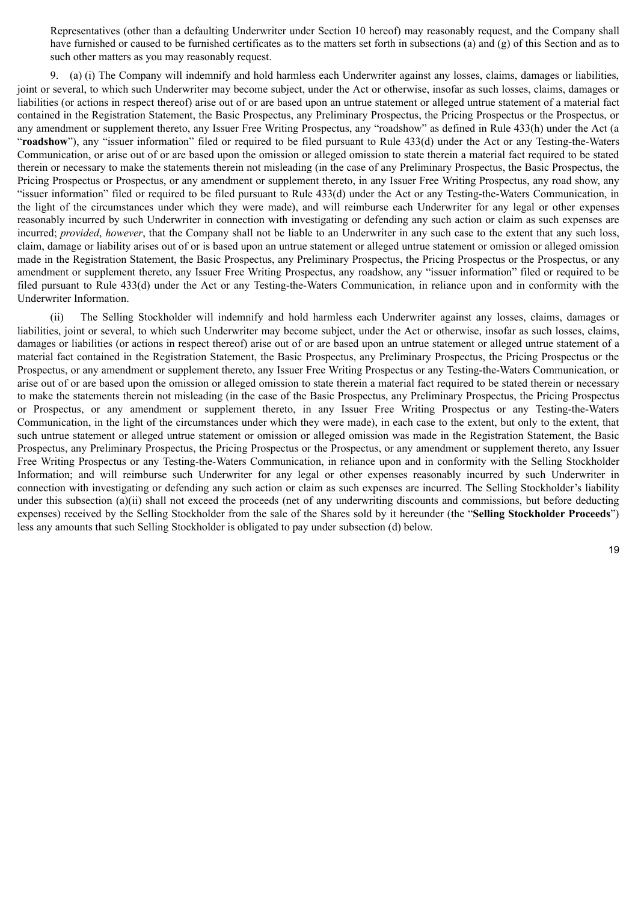Representatives (other than a defaulting Underwriter under Section 10 hereof) may reasonably request, and the Company shall have furnished or caused to be furnished certificates as to the matters set forth in subsections (a) and (g) of this Section and as to such other matters as you may reasonably request.

9. (a) (i) The Company will indemnify and hold harmless each Underwriter against any losses, claims, damages or liabilities, joint or several, to which such Underwriter may become subject, under the Act or otherwise, insofar as such losses, claims, damages or liabilities (or actions in respect thereof) arise out of or are based upon an untrue statement or alleged untrue statement of a material fact contained in the Registration Statement, the Basic Prospectus, any Preliminary Prospectus, the Pricing Prospectus or the Prospectus, or any amendment or supplement thereto, any Issuer Free Writing Prospectus, any "roadshow" as defined in Rule 433(h) under the Act (a "**roadshow**"), any "issuer information" filed or required to be filed pursuant to Rule 433(d) under the Act or any Testing-the-Waters Communication, or arise out of or are based upon the omission or alleged omission to state therein a material fact required to be stated therein or necessary to make the statements therein not misleading (in the case of any Preliminary Prospectus, the Basic Prospectus, the Pricing Prospectus or Prospectus, or any amendment or supplement thereto, in any Issuer Free Writing Prospectus, any road show, any "issuer information" filed or required to be filed pursuant to Rule 433(d) under the Act or any Testing-the-Waters Communication, in the light of the circumstances under which they were made), and will reimburse each Underwriter for any legal or other expenses reasonably incurred by such Underwriter in connection with investigating or defending any such action or claim as such expenses are incurred; *provided*, *however*, that the Company shall not be liable to an Underwriter in any such case to the extent that any such loss, claim, damage or liability arises out of or is based upon an untrue statement or alleged untrue statement or omission or alleged omission made in the Registration Statement, the Basic Prospectus, any Preliminary Prospectus, the Pricing Prospectus or the Prospectus, or any amendment or supplement thereto, any Issuer Free Writing Prospectus, any roadshow, any "issuer information" filed or required to be filed pursuant to Rule 433(d) under the Act or any Testing-the-Waters Communication, in reliance upon and in conformity with the Underwriter Information.

(ii) The Selling Stockholder will indemnify and hold harmless each Underwriter against any losses, claims, damages or liabilities, joint or several, to which such Underwriter may become subject, under the Act or otherwise, insofar as such losses, claims, damages or liabilities (or actions in respect thereof) arise out of or are based upon an untrue statement or alleged untrue statement of a material fact contained in the Registration Statement, the Basic Prospectus, any Preliminary Prospectus, the Pricing Prospectus or the Prospectus, or any amendment or supplement thereto, any Issuer Free Writing Prospectus or any Testing-the-Waters Communication, or arise out of or are based upon the omission or alleged omission to state therein a material fact required to be stated therein or necessary to make the statements therein not misleading (in the case of the Basic Prospectus, any Preliminary Prospectus, the Pricing Prospectus or Prospectus, or any amendment or supplement thereto, in any Issuer Free Writing Prospectus or any Testing-the-Waters Communication, in the light of the circumstances under which they were made), in each case to the extent, but only to the extent, that such untrue statement or alleged untrue statement or omission or alleged omission was made in the Registration Statement, the Basic Prospectus, any Preliminary Prospectus, the Pricing Prospectus or the Prospectus, or any amendment or supplement thereto, any Issuer Free Writing Prospectus or any Testing-the-Waters Communication, in reliance upon and in conformity with the Selling Stockholder Information; and will reimburse such Underwriter for any legal or other expenses reasonably incurred by such Underwriter in connection with investigating or defending any such action or claim as such expenses are incurred. The Selling Stockholder's liability under this subsection (a)(ii) shall not exceed the proceeds (net of any underwriting discounts and commissions, but before deducting expenses) received by the Selling Stockholder from the sale of the Shares sold by it hereunder (the "**Selling Stockholder Proceeds**") less any amounts that such Selling Stockholder is obligated to pay under subsection (d) below.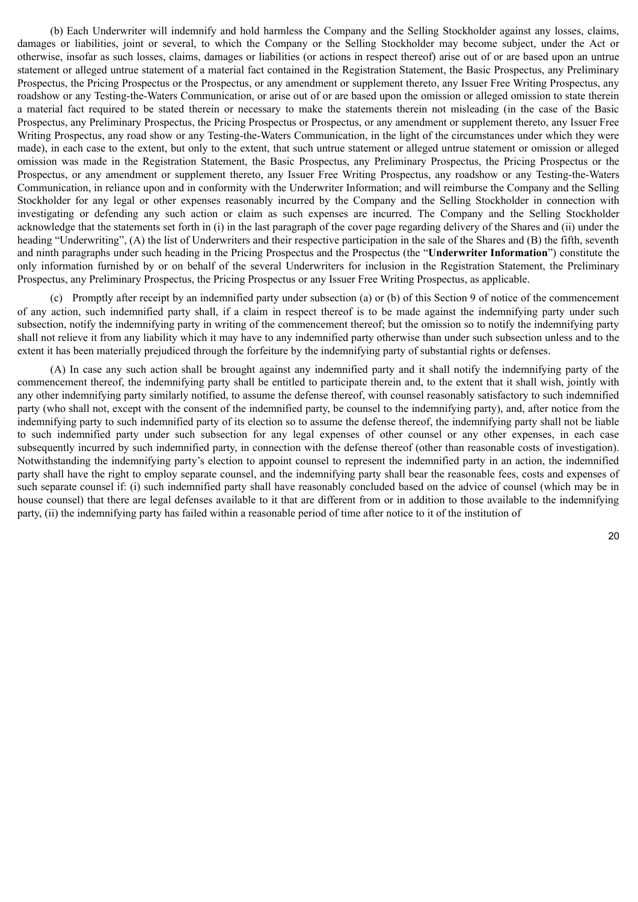(b) Each Underwriter will indemnify and hold harmless the Company and the Selling Stockholder against any losses, claims, damages or liabilities, joint or several, to which the Company or the Selling Stockholder may become subject, under the Act or otherwise, insofar as such losses, claims, damages or liabilities (or actions in respect thereof) arise out of or are based upon an untrue statement or alleged untrue statement of a material fact contained in the Registration Statement, the Basic Prospectus, any Preliminary Prospectus, the Pricing Prospectus or the Prospectus, or any amendment or supplement thereto, any Issuer Free Writing Prospectus, any roadshow or any Testing-the-Waters Communication, or arise out of or are based upon the omission or alleged omission to state therein a material fact required to be stated therein or necessary to make the statements therein not misleading (in the case of the Basic Prospectus, any Preliminary Prospectus, the Pricing Prospectus or Prospectus, or any amendment or supplement thereto, any Issuer Free Writing Prospectus, any road show or any Testing-the-Waters Communication, in the light of the circumstances under which they were made), in each case to the extent, but only to the extent, that such untrue statement or alleged untrue statement or omission or alleged omission was made in the Registration Statement, the Basic Prospectus, any Preliminary Prospectus, the Pricing Prospectus or the Prospectus, or any amendment or supplement thereto, any Issuer Free Writing Prospectus, any roadshow or any Testing-the-Waters Communication, in reliance upon and in conformity with the Underwriter Information; and will reimburse the Company and the Selling Stockholder for any legal or other expenses reasonably incurred by the Company and the Selling Stockholder in connection with investigating or defending any such action or claim as such expenses are incurred. The Company and the Selling Stockholder acknowledge that the statements set forth in (i) in the last paragraph of the cover page regarding delivery of the Shares and (ii) under the heading "Underwriting", (A) the list of Underwriters and their respective participation in the sale of the Shares and (B) the fifth, seventh and ninth paragraphs under such heading in the Pricing Prospectus and the Prospectus (the "**Underwriter Information**") constitute the only information furnished by or on behalf of the several Underwriters for inclusion in the Registration Statement, the Preliminary Prospectus, any Preliminary Prospectus, the Pricing Prospectus or any Issuer Free Writing Prospectus, as applicable.

(c) Promptly after receipt by an indemnified party under subsection (a) or (b) of this Section 9 of notice of the commencement of any action, such indemnified party shall, if a claim in respect thereof is to be made against the indemnifying party under such subsection, notify the indemnifying party in writing of the commencement thereof; but the omission so to notify the indemnifying party shall not relieve it from any liability which it may have to any indemnified party otherwise than under such subsection unless and to the extent it has been materially prejudiced through the forfeiture by the indemnifying party of substantial rights or defenses.

(A) In case any such action shall be brought against any indemnified party and it shall notify the indemnifying party of the commencement thereof, the indemnifying party shall be entitled to participate therein and, to the extent that it shall wish, jointly with any other indemnifying party similarly notified, to assume the defense thereof, with counsel reasonably satisfactory to such indemnified party (who shall not, except with the consent of the indemnified party, be counsel to the indemnifying party), and, after notice from the indemnifying party to such indemnified party of its election so to assume the defense thereof, the indemnifying party shall not be liable to such indemnified party under such subsection for any legal expenses of other counsel or any other expenses, in each case subsequently incurred by such indemnified party, in connection with the defense thereof (other than reasonable costs of investigation). Notwithstanding the indemnifying party's election to appoint counsel to represent the indemnified party in an action, the indemnified party shall have the right to employ separate counsel, and the indemnifying party shall bear the reasonable fees, costs and expenses of such separate counsel if: (i) such indemnified party shall have reasonably concluded based on the advice of counsel (which may be in house counsel) that there are legal defenses available to it that are different from or in addition to those available to the indemnifying party, (ii) the indemnifying party has failed within a reasonable period of time after notice to it of the institution of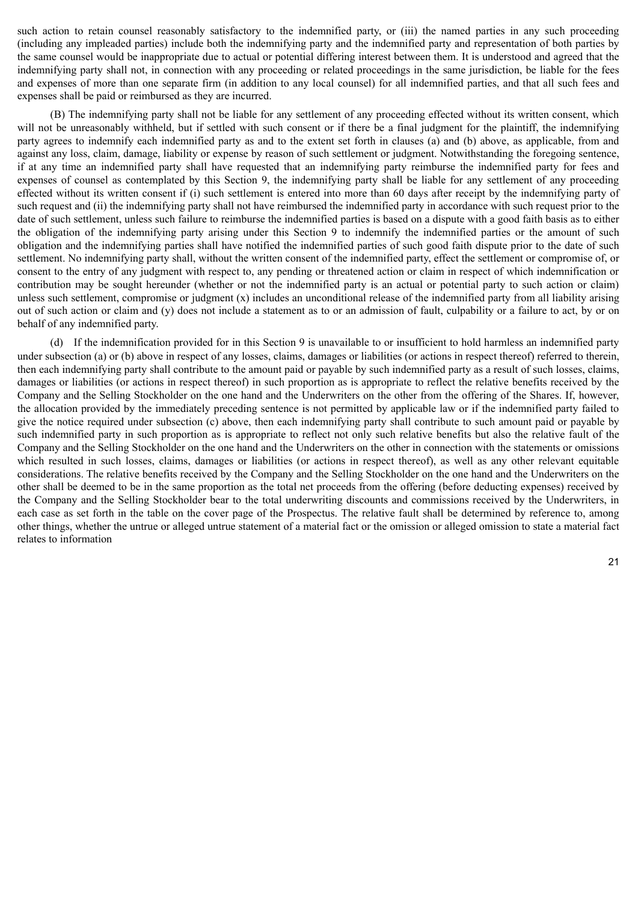such action to retain counsel reasonably satisfactory to the indemnified party, or (iii) the named parties in any such proceeding (including any impleaded parties) include both the indemnifying party and the indemnified party and representation of both parties by the same counsel would be inappropriate due to actual or potential differing interest between them. It is understood and agreed that the indemnifying party shall not, in connection with any proceeding or related proceedings in the same jurisdiction, be liable for the fees and expenses of more than one separate firm (in addition to any local counsel) for all indemnified parties, and that all such fees and expenses shall be paid or reimbursed as they are incurred.

(B) The indemnifying party shall not be liable for any settlement of any proceeding effected without its written consent, which will not be unreasonably withheld, but if settled with such consent or if there be a final judgment for the plaintiff, the indemnifying party agrees to indemnify each indemnified party as and to the extent set forth in clauses (a) and (b) above, as applicable, from and against any loss, claim, damage, liability or expense by reason of such settlement or judgment. Notwithstanding the foregoing sentence, if at any time an indemnified party shall have requested that an indemnifying party reimburse the indemnified party for fees and expenses of counsel as contemplated by this Section 9, the indemnifying party shall be liable for any settlement of any proceeding effected without its written consent if (i) such settlement is entered into more than 60 days after receipt by the indemnifying party of such request and (ii) the indemnifying party shall not have reimbursed the indemnified party in accordance with such request prior to the date of such settlement, unless such failure to reimburse the indemnified parties is based on a dispute with a good faith basis as to either the obligation of the indemnifying party arising under this Section 9 to indemnify the indemnified parties or the amount of such obligation and the indemnifying parties shall have notified the indemnified parties of such good faith dispute prior to the date of such settlement. No indemnifying party shall, without the written consent of the indemnified party, effect the settlement or compromise of, or consent to the entry of any judgment with respect to, any pending or threatened action or claim in respect of which indemnification or contribution may be sought hereunder (whether or not the indemnified party is an actual or potential party to such action or claim) unless such settlement, compromise or judgment (x) includes an unconditional release of the indemnified party from all liability arising out of such action or claim and (y) does not include a statement as to or an admission of fault, culpability or a failure to act, by or on behalf of any indemnified party.

(d) If the indemnification provided for in this Section 9 is unavailable to or insufficient to hold harmless an indemnified party under subsection (a) or (b) above in respect of any losses, claims, damages or liabilities (or actions in respect thereof) referred to therein, then each indemnifying party shall contribute to the amount paid or payable by such indemnified party as a result of such losses, claims, damages or liabilities (or actions in respect thereof) in such proportion as is appropriate to reflect the relative benefits received by the Company and the Selling Stockholder on the one hand and the Underwriters on the other from the offering of the Shares. If, however, the allocation provided by the immediately preceding sentence is not permitted by applicable law or if the indemnified party failed to give the notice required under subsection (c) above, then each indemnifying party shall contribute to such amount paid or payable by such indemnified party in such proportion as is appropriate to reflect not only such relative benefits but also the relative fault of the Company and the Selling Stockholder on the one hand and the Underwriters on the other in connection with the statements or omissions which resulted in such losses, claims, damages or liabilities (or actions in respect thereof), as well as any other relevant equitable considerations. The relative benefits received by the Company and the Selling Stockholder on the one hand and the Underwriters on the other shall be deemed to be in the same proportion as the total net proceeds from the offering (before deducting expenses) received by the Company and the Selling Stockholder bear to the total underwriting discounts and commissions received by the Underwriters, in each case as set forth in the table on the cover page of the Prospectus. The relative fault shall be determined by reference to, among other things, whether the untrue or alleged untrue statement of a material fact or the omission or alleged omission to state a material fact relates to information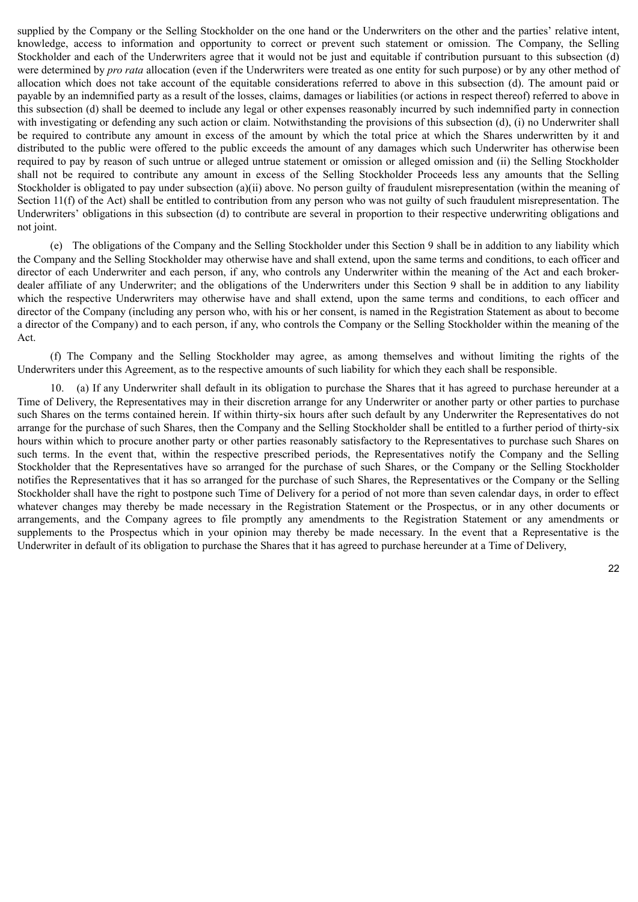supplied by the Company or the Selling Stockholder on the one hand or the Underwriters on the other and the parties' relative intent, knowledge, access to information and opportunity to correct or prevent such statement or omission. The Company, the Selling Stockholder and each of the Underwriters agree that it would not be just and equitable if contribution pursuant to this subsection (d) were determined by *pro rata* allocation (even if the Underwriters were treated as one entity for such purpose) or by any other method of allocation which does not take account of the equitable considerations referred to above in this subsection (d). The amount paid or payable by an indemnified party as a result of the losses, claims, damages or liabilities (or actions in respect thereof) referred to above in this subsection (d) shall be deemed to include any legal or other expenses reasonably incurred by such indemnified party in connection with investigating or defending any such action or claim. Notwithstanding the provisions of this subsection (d), (i) no Underwriter shall be required to contribute any amount in excess of the amount by which the total price at which the Shares underwritten by it and distributed to the public were offered to the public exceeds the amount of any damages which such Underwriter has otherwise been required to pay by reason of such untrue or alleged untrue statement or omission or alleged omission and (ii) the Selling Stockholder shall not be required to contribute any amount in excess of the Selling Stockholder Proceeds less any amounts that the Selling Stockholder is obligated to pay under subsection (a)(ii) above. No person guilty of fraudulent misrepresentation (within the meaning of Section 11(f) of the Act) shall be entitled to contribution from any person who was not guilty of such fraudulent misrepresentation. The Underwriters' obligations in this subsection (d) to contribute are several in proportion to their respective underwriting obligations and not joint.

(e) The obligations of the Company and the Selling Stockholder under this Section 9 shall be in addition to any liability which the Company and the Selling Stockholder may otherwise have and shall extend, upon the same terms and conditions, to each officer and director of each Underwriter and each person, if any, who controls any Underwriter within the meaning of the Act and each brokerdealer affiliate of any Underwriter; and the obligations of the Underwriters under this Section 9 shall be in addition to any liability which the respective Underwriters may otherwise have and shall extend, upon the same terms and conditions, to each officer and director of the Company (including any person who, with his or her consent, is named in the Registration Statement as about to become a director of the Company) and to each person, if any, who controls the Company or the Selling Stockholder within the meaning of the Act.

(f) The Company and the Selling Stockholder may agree, as among themselves and without limiting the rights of the Underwriters under this Agreement, as to the respective amounts of such liability for which they each shall be responsible.

10. (a) If any Underwriter shall default in its obligation to purchase the Shares that it has agreed to purchase hereunder at a Time of Delivery, the Representatives may in their discretion arrange for any Underwriter or another party or other parties to purchase such Shares on the terms contained herein. If within thirty-six hours after such default by any Underwriter the Representatives do not arrange for the purchase of such Shares, then the Company and the Selling Stockholder shall be entitled to a further period of thirty-six hours within which to procure another party or other parties reasonably satisfactory to the Representatives to purchase such Shares on such terms. In the event that, within the respective prescribed periods, the Representatives notify the Company and the Selling Stockholder that the Representatives have so arranged for the purchase of such Shares, or the Company or the Selling Stockholder notifies the Representatives that it has so arranged for the purchase of such Shares, the Representatives or the Company or the Selling Stockholder shall have the right to postpone such Time of Delivery for a period of not more than seven calendar days, in order to effect whatever changes may thereby be made necessary in the Registration Statement or the Prospectus, or in any other documents or arrangements, and the Company agrees to file promptly any amendments to the Registration Statement or any amendments or supplements to the Prospectus which in your opinion may thereby be made necessary. In the event that a Representative is the Underwriter in default of its obligation to purchase the Shares that it has agreed to purchase hereunder at a Time of Delivery,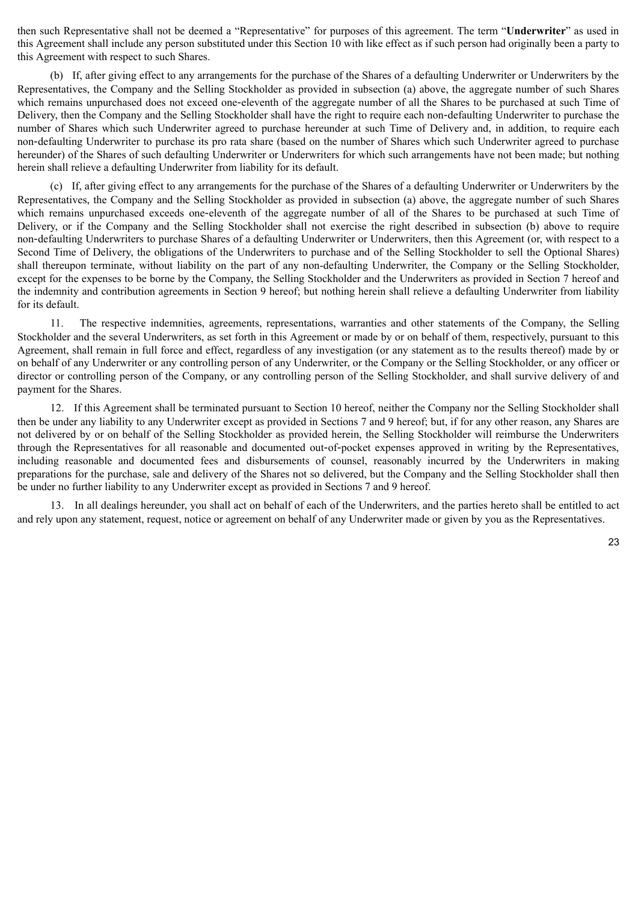then such Representative shall not be deemed a "Representative" for purposes of this agreement. The term "**Underwriter**" as used in this Agreement shall include any person substituted under this Section 10 with like effect as if such person had originally been a party to this Agreement with respect to such Shares.

(b) If, after giving effect to any arrangements for the purchase of the Shares of a defaulting Underwriter or Underwriters by the Representatives, the Company and the Selling Stockholder as provided in subsection (a) above, the aggregate number of such Shares which remains unpurchased does not exceed one-eleventh of the aggregate number of all the Shares to be purchased at such Time of Delivery, then the Company and the Selling Stockholder shall have the right to require each non‑defaulting Underwriter to purchase the number of Shares which such Underwriter agreed to purchase hereunder at such Time of Delivery and, in addition, to require each non‑defaulting Underwriter to purchase its pro rata share (based on the number of Shares which such Underwriter agreed to purchase hereunder) of the Shares of such defaulting Underwriter or Underwriters for which such arrangements have not been made; but nothing herein shall relieve a defaulting Underwriter from liability for its default.

(c) If, after giving effect to any arrangements for the purchase of the Shares of a defaulting Underwriter or Underwriters by the Representatives, the Company and the Selling Stockholder as provided in subsection (a) above, the aggregate number of such Shares which remains unpurchased exceeds one-eleventh of the aggregate number of all of the Shares to be purchased at such Time of Delivery, or if the Company and the Selling Stockholder shall not exercise the right described in subsection (b) above to require non‑defaulting Underwriters to purchase Shares of a defaulting Underwriter or Underwriters, then this Agreement (or, with respect to a Second Time of Delivery, the obligations of the Underwriters to purchase and of the Selling Stockholder to sell the Optional Shares) shall thereupon terminate, without liability on the part of any non-defaulting Underwriter, the Company or the Selling Stockholder, except for the expenses to be borne by the Company, the Selling Stockholder and the Underwriters as provided in Section 7 hereof and the indemnity and contribution agreements in Section 9 hereof; but nothing herein shall relieve a defaulting Underwriter from liability for its default.

11. The respective indemnities, agreements, representations, warranties and other statements of the Company, the Selling Stockholder and the several Underwriters, as set forth in this Agreement or made by or on behalf of them, respectively, pursuant to this Agreement, shall remain in full force and effect, regardless of any investigation (or any statement as to the results thereof) made by or on behalf of any Underwriter or any controlling person of any Underwriter, or the Company or the Selling Stockholder, or any officer or director or controlling person of the Company, or any controlling person of the Selling Stockholder, and shall survive delivery of and payment for the Shares.

12. If this Agreement shall be terminated pursuant to Section 10 hereof, neither the Company nor the Selling Stockholder shall then be under any liability to any Underwriter except as provided in Sections 7 and 9 hereof; but, if for any other reason, any Shares are not delivered by or on behalf of the Selling Stockholder as provided herein, the Selling Stockholder will reimburse the Underwriters through the Representatives for all reasonable and documented out‑of‑pocket expenses approved in writing by the Representatives, including reasonable and documented fees and disbursements of counsel, reasonably incurred by the Underwriters in making preparations for the purchase, sale and delivery of the Shares not so delivered, but the Company and the Selling Stockholder shall then be under no further liability to any Underwriter except as provided in Sections 7 and 9 hereof.

13. In all dealings hereunder, you shall act on behalf of each of the Underwriters, and the parties hereto shall be entitled to act and rely upon any statement, request, notice or agreement on behalf of any Underwriter made or given by you as the Representatives.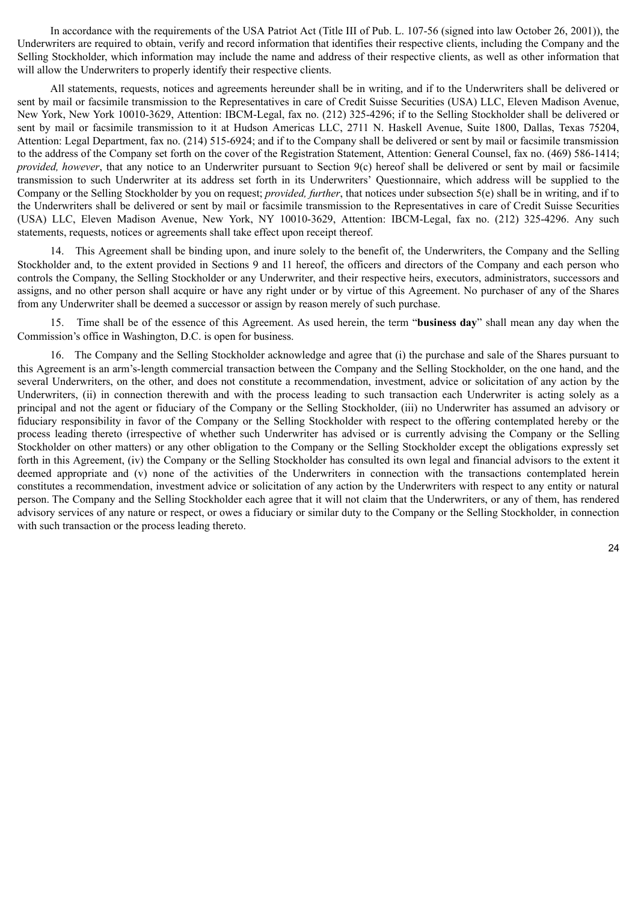In accordance with the requirements of the USA Patriot Act (Title III of Pub. L. 107-56 (signed into law October 26, 2001)), the Underwriters are required to obtain, verify and record information that identifies their respective clients, including the Company and the Selling Stockholder, which information may include the name and address of their respective clients, as well as other information that will allow the Underwriters to properly identify their respective clients.

All statements, requests, notices and agreements hereunder shall be in writing, and if to the Underwriters shall be delivered or sent by mail or facsimile transmission to the Representatives in care of Credit Suisse Securities (USA) LLC, Eleven Madison Avenue, New York, New York 10010-3629, Attention: IBCM-Legal, fax no. (212) 325-4296; if to the Selling Stockholder shall be delivered or sent by mail or facsimile transmission to it at Hudson Americas LLC, 2711 N. Haskell Avenue, Suite 1800, Dallas, Texas 75204, Attention: Legal Department, fax no. (214) 515-6924; and if to the Company shall be delivered or sent by mail or facsimile transmission to the address of the Company set forth on the cover of the Registration Statement, Attention: General Counsel, fax no. (469) 586-1414; *provided, however*, that any notice to an Underwriter pursuant to Section 9(c) hereof shall be delivered or sent by mail or facsimile transmission to such Underwriter at its address set forth in its Underwriters' Questionnaire, which address will be supplied to the Company or the Selling Stockholder by you on request; *provided, further*, that notices under subsection 5(e) shall be in writing, and if to the Underwriters shall be delivered or sent by mail or facsimile transmission to the Representatives in care of Credit Suisse Securities (USA) LLC, Eleven Madison Avenue, New York, NY 10010-3629, Attention: IBCM-Legal, fax no. (212) 325-4296. Any such statements, requests, notices or agreements shall take effect upon receipt thereof.

14. This Agreement shall be binding upon, and inure solely to the benefit of, the Underwriters, the Company and the Selling Stockholder and, to the extent provided in Sections 9 and 11 hereof, the officers and directors of the Company and each person who controls the Company, the Selling Stockholder or any Underwriter, and their respective heirs, executors, administrators, successors and assigns, and no other person shall acquire or have any right under or by virtue of this Agreement. No purchaser of any of the Shares from any Underwriter shall be deemed a successor or assign by reason merely of such purchase.

15. Time shall be of the essence of this Agreement. As used herein, the term "**business day**" shall mean any day when the Commission's office in Washington, D.C. is open for business.

16. The Company and the Selling Stockholder acknowledge and agree that (i) the purchase and sale of the Shares pursuant to this Agreement is an arm's-length commercial transaction between the Company and the Selling Stockholder, on the one hand, and the several Underwriters, on the other, and does not constitute a recommendation, investment, advice or solicitation of any action by the Underwriters, (ii) in connection therewith and with the process leading to such transaction each Underwriter is acting solely as a principal and not the agent or fiduciary of the Company or the Selling Stockholder, (iii) no Underwriter has assumed an advisory or fiduciary responsibility in favor of the Company or the Selling Stockholder with respect to the offering contemplated hereby or the process leading thereto (irrespective of whether such Underwriter has advised or is currently advising the Company or the Selling Stockholder on other matters) or any other obligation to the Company or the Selling Stockholder except the obligations expressly set forth in this Agreement, (iv) the Company or the Selling Stockholder has consulted its own legal and financial advisors to the extent it deemed appropriate and (v) none of the activities of the Underwriters in connection with the transactions contemplated herein constitutes a recommendation, investment advice or solicitation of any action by the Underwriters with respect to any entity or natural person. The Company and the Selling Stockholder each agree that it will not claim that the Underwriters, or any of them, has rendered advisory services of any nature or respect, or owes a fiduciary or similar duty to the Company or the Selling Stockholder, in connection with such transaction or the process leading thereto.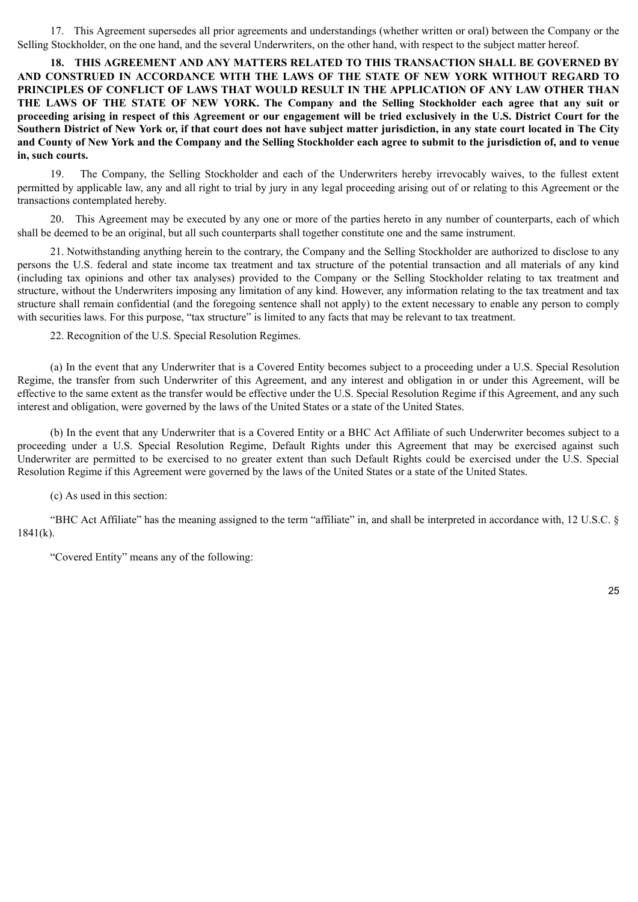17. This Agreement supersedes all prior agreements and understandings (whether written or oral) between the Company or the Selling Stockholder, on the one hand, and the several Underwriters, on the other hand, with respect to the subject matter hereof.

**18. THIS AGREEMENT AND ANY MATTERS RELATED TO THIS TRANSACTION SHALL BE GOVERNED BY AND CONSTRUED IN ACCORDANCE WITH THE LAWS OF THE STATE OF NEW YORK WITHOUT REGARD TO PRINCIPLES OF CONFLICT OF LAWS THAT WOULD RESULT IN THE APPLICATION OF ANY LAW OTHER THAN THE LAWS OF THE STATE OF NEW YORK. The Company and the Selling Stockholder each agree that any suit or proceeding arising in respect of this Agreement or our engagement will be tried exclusively in the U.S. District Court for the Southern District of New York or, if that court does not have subject matter jurisdiction, in any state court located in The City and County of New York and the Company and the Selling Stockholder each agree to submit to the jurisdiction of, and to venue in, such courts.**

19. The Company, the Selling Stockholder and each of the Underwriters hereby irrevocably waives, to the fullest extent permitted by applicable law, any and all right to trial by jury in any legal proceeding arising out of or relating to this Agreement or the transactions contemplated hereby.

20. This Agreement may be executed by any one or more of the parties hereto in any number of counterparts, each of which shall be deemed to be an original, but all such counterparts shall together constitute one and the same instrument.

21. Notwithstanding anything herein to the contrary, the Company and the Selling Stockholder are authorized to disclose to any persons the U.S. federal and state income tax treatment and tax structure of the potential transaction and all materials of any kind (including tax opinions and other tax analyses) provided to the Company or the Selling Stockholder relating to tax treatment and structure, without the Underwriters imposing any limitation of any kind. However, any information relating to the tax treatment and tax structure shall remain confidential (and the foregoing sentence shall not apply) to the extent necessary to enable any person to comply with securities laws. For this purpose, "tax structure" is limited to any facts that may be relevant to tax treatment.

22. Recognition of the U.S. Special Resolution Regimes.

(a) In the event that any Underwriter that is a Covered Entity becomes subject to a proceeding under a U.S. Special Resolution Regime, the transfer from such Underwriter of this Agreement, and any interest and obligation in or under this Agreement, will be effective to the same extent as the transfer would be effective under the U.S. Special Resolution Regime if this Agreement, and any such interest and obligation, were governed by the laws of the United States or a state of the United States.

(b) In the event that any Underwriter that is a Covered Entity or a BHC Act Affiliate of such Underwriter becomes subject to a proceeding under a U.S. Special Resolution Regime, Default Rights under this Agreement that may be exercised against such Underwriter are permitted to be exercised to no greater extent than such Default Rights could be exercised under the U.S. Special Resolution Regime if this Agreement were governed by the laws of the United States or a state of the United States.

(c) As used in this section:

"BHC Act Affiliate" has the meaning assigned to the term "affiliate" in, and shall be interpreted in accordance with, 12 U.S.C. § 1841(k).

"Covered Entity" means any of the following: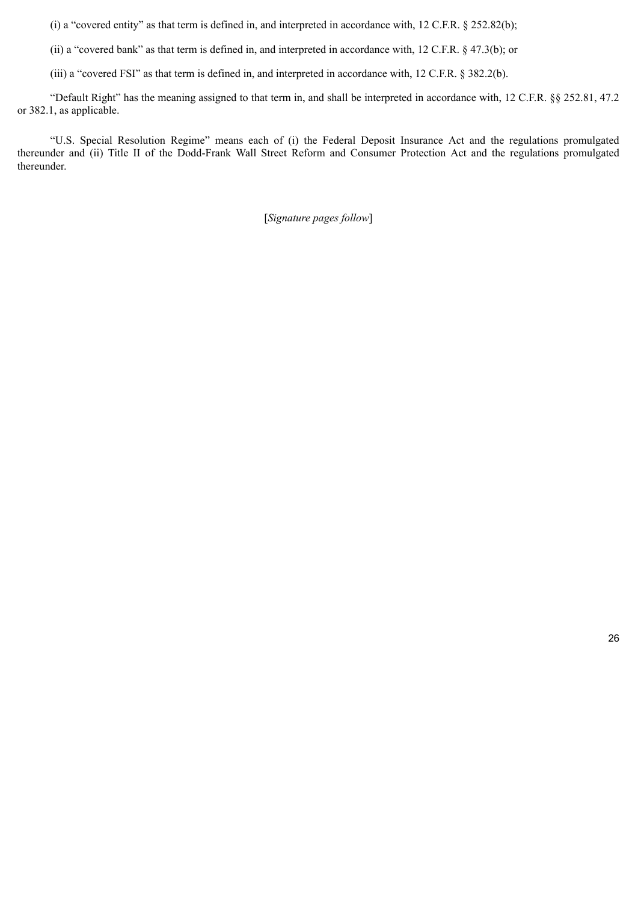(i) a "covered entity" as that term is defined in, and interpreted in accordance with, 12 C.F.R. § 252.82(b);

(ii) a "covered bank" as that term is defined in, and interpreted in accordance with, 12 C.F.R. § 47.3(b); or

(iii) a "covered FSI" as that term is defined in, and interpreted in accordance with, 12 C.F.R. § 382.2(b).

"Default Right" has the meaning assigned to that term in, and shall be interpreted in accordance with, 12 C.F.R. §§ 252.81, 47.2 or 382.1, as applicable.

"U.S. Special Resolution Regime" means each of (i) the Federal Deposit Insurance Act and the regulations promulgated thereunder and (ii) Title II of the Dodd-Frank Wall Street Reform and Consumer Protection Act and the regulations promulgated thereunder.

[*Signature pages follow*]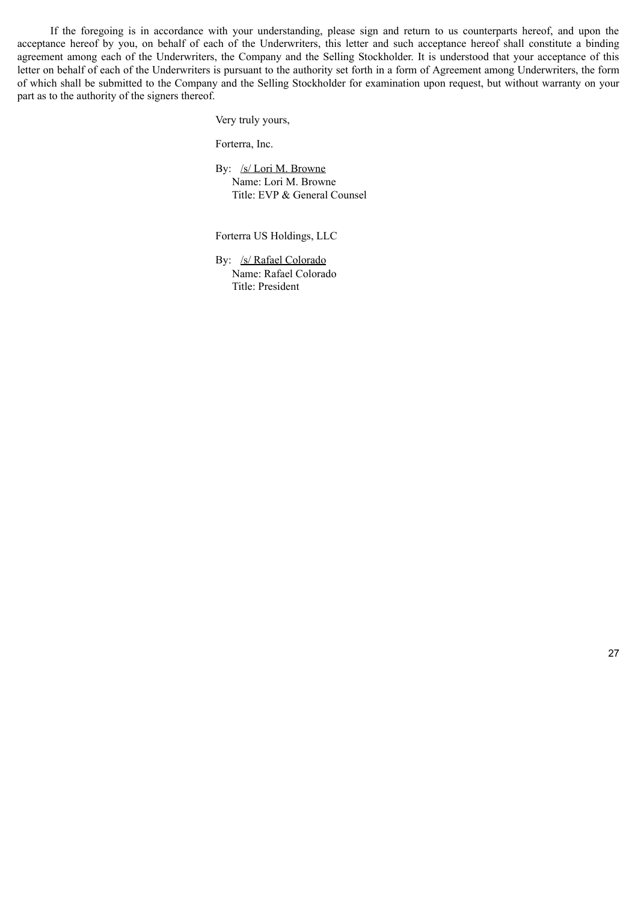If the foregoing is in accordance with your understanding, please sign and return to us counterparts hereof, and upon the acceptance hereof by you, on behalf of each of the Underwriters, this letter and such acceptance hereof shall constitute a binding agreement among each of the Underwriters, the Company and the Selling Stockholder. It is understood that your acceptance of this letter on behalf of each of the Underwriters is pursuant to the authority set forth in a form of Agreement among Underwriters, the form of which shall be submitted to the Company and the Selling Stockholder for examination upon request, but without warranty on your part as to the authority of the signers thereof.

Very truly yours,

Forterra, Inc.

By: /s/ Lori M. Browne Name: Lori M. Browne Title: EVP & General Counsel

Forterra US Holdings, LLC

By: /s/ Rafael Colorado Name: Rafael Colorado Title: President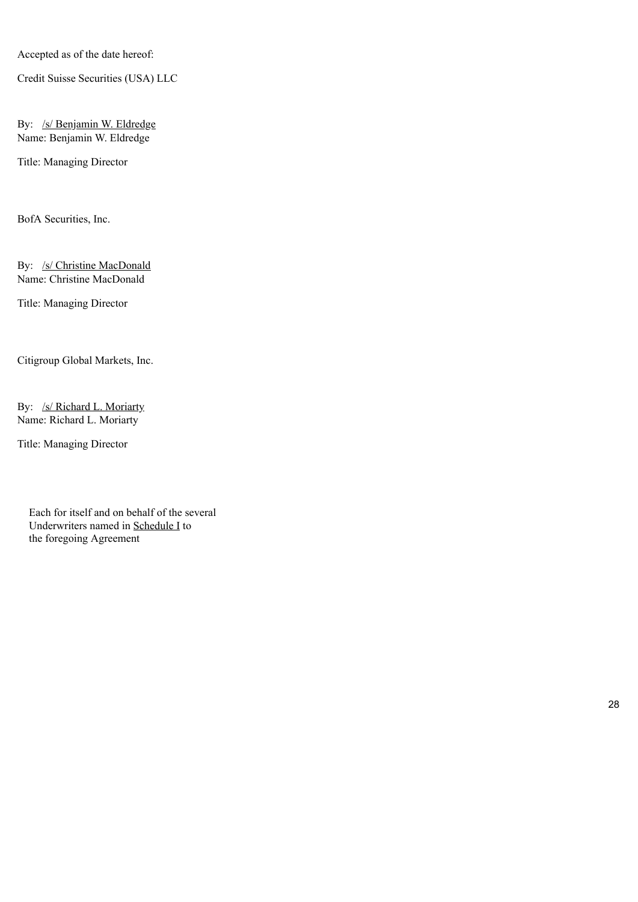Accepted as of the date hereof:

Credit Suisse Securities (USA) LLC

By: /s/ Benjamin W. Eldredge Name: Benjamin W. Eldredge

Title: Managing Director

BofA Securities, Inc.

By: /s/ Christine MacDonald Name: Christine MacDonald

Title: Managing Director

Citigroup Global Markets, Inc.

By: /s/ Richard L. Moriarty Name: Richard L. Moriarty

Title: Managing Director

Each for itself and on behalf of the several Underwriters named in Schedule I to the foregoing Agreement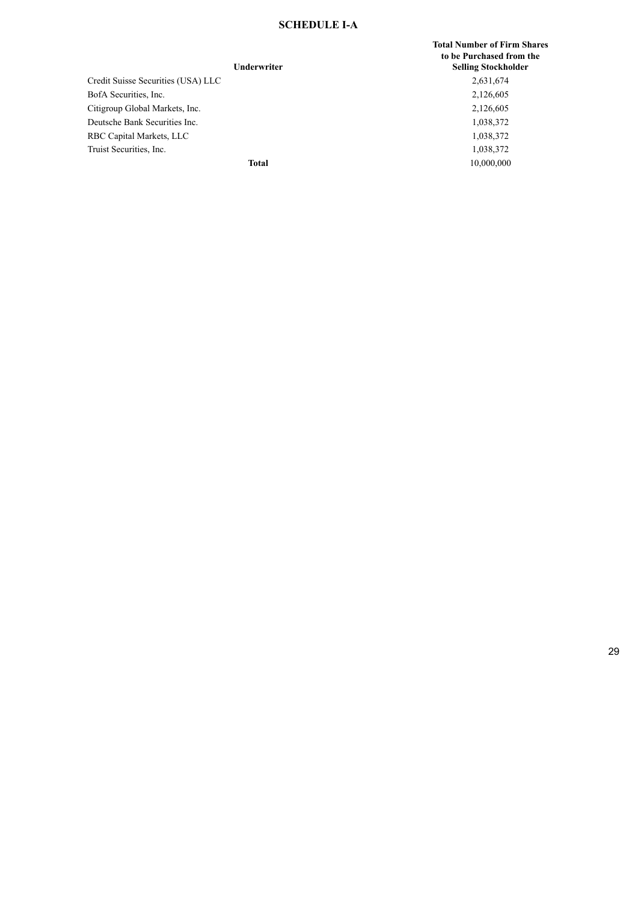## **SCHEDULE I-A**

### **Underwriter**

Credit Suisse Securities (USA) LLC 2,631,674 BofA Securities, Inc. 2,126,605 Citigroup Global Markets, Inc. 2,126,605 Deutsche Bank Securities Inc. 1,038,372 RBC Capital Markets, LLC 1,038,372 Truist Securities, Inc. 1,038,372

**Total Number of Firm Shares to be Purchased from the Selling Stockholder Total** 10,000,000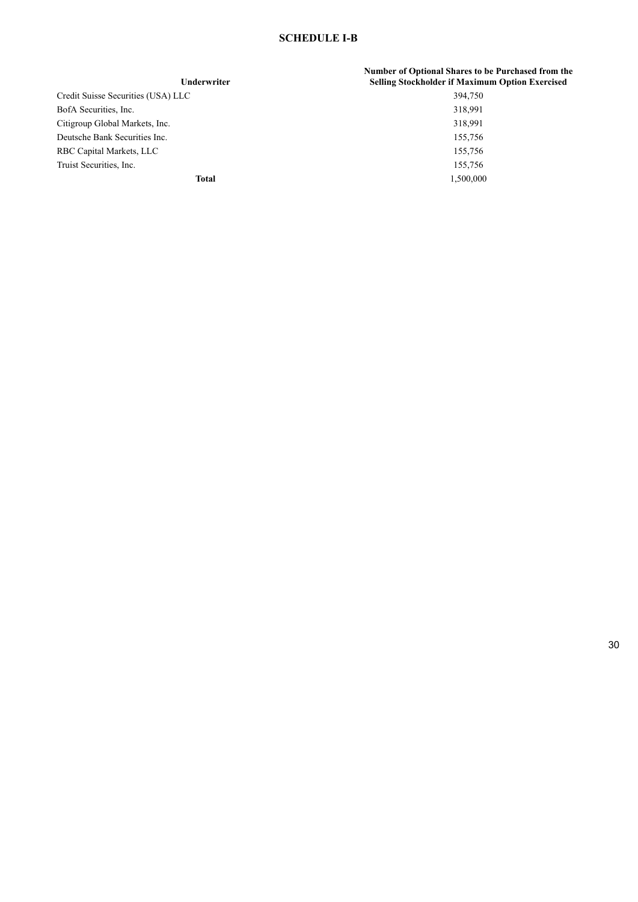# **SCHEDULE I-B**

| <b>Underwriter</b>                 | Number of Optional Shares to be Purchased from the<br><b>Selling Stockholder if Maximum Option Exercised</b> |
|------------------------------------|--------------------------------------------------------------------------------------------------------------|
| Credit Suisse Securities (USA) LLC | 394,750                                                                                                      |
| BofA Securities, Inc.              | 318,991                                                                                                      |
| Citigroup Global Markets, Inc.     | 318,991                                                                                                      |
| Deutsche Bank Securities Inc.      | 155,756                                                                                                      |
| RBC Capital Markets, LLC           | 155,756                                                                                                      |
| Truist Securities, Inc.            | 155.756                                                                                                      |
| Total                              | 1,500,000                                                                                                    |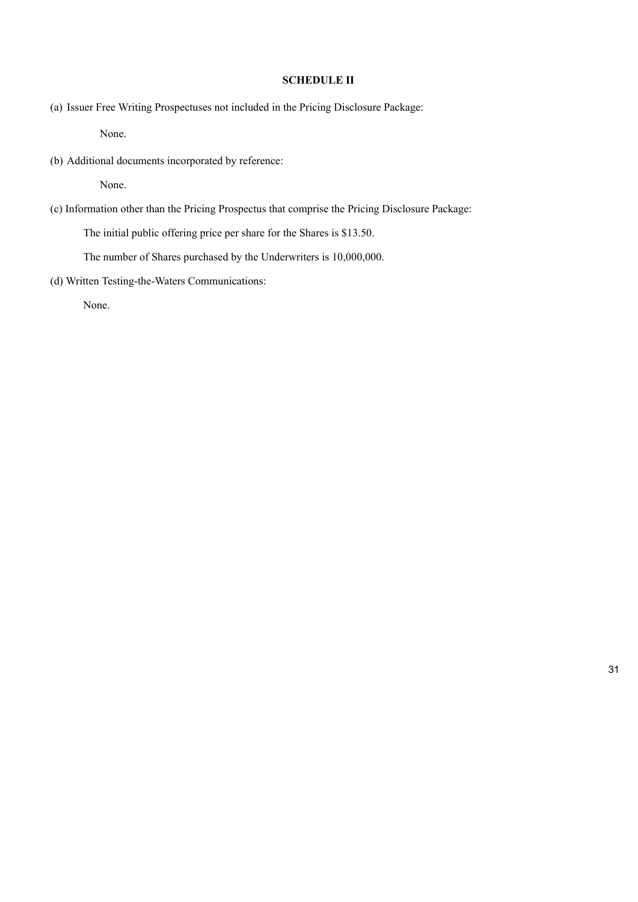## **SCHEDULE II**

(a) Issuer Free Writing Prospectuses not included in the Pricing Disclosure Package:

None.

(b) Additional documents incorporated by reference:

None.

(c) Information other than the Pricing Prospectus that comprise the Pricing Disclosure Package:

The initial public offering price per share for the Shares is \$13.50.

The number of Shares purchased by the Underwriters is 10,000,000.

(d) Written Testing-the-Waters Communications:

None.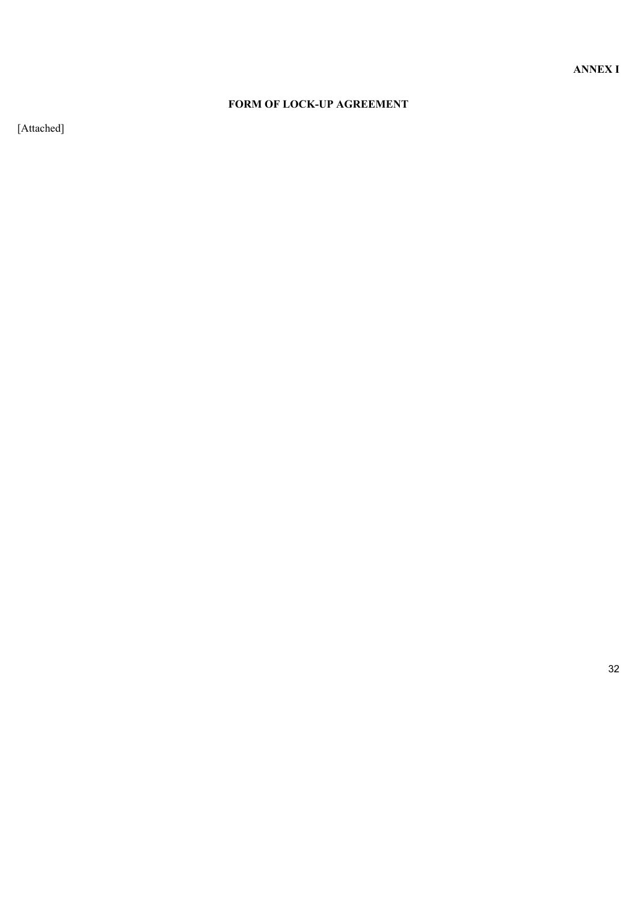# **FORM OF LOCK-UP AGREEMENT**

[Attached]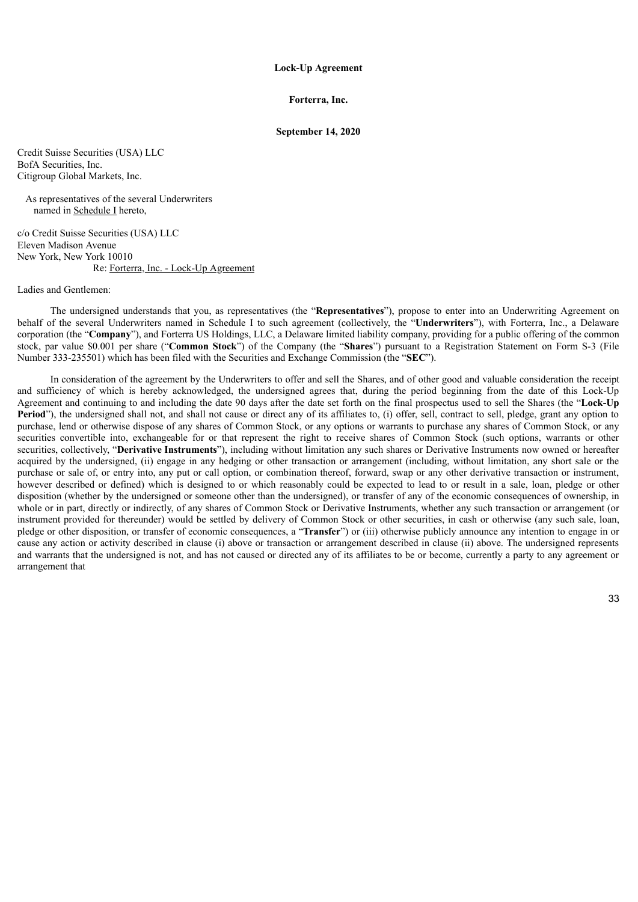#### **Lock-Up Agreement**

#### **Forterra, Inc.**

#### **September 14, 2020**

Credit Suisse Securities (USA) LLC BofA Securities, Inc. Citigroup Global Markets, Inc.

As representatives of the several Underwriters named in Schedule I hereto,

c/o Credit Suisse Securities (USA) LLC Eleven Madison Avenue New York, New York 10010 Re: Forterra, Inc. - Lock-Up Agreement

### Ladies and Gentlemen:

The undersigned understands that you, as representatives (the "**Representatives**"), propose to enter into an Underwriting Agreement on behalf of the several Underwriters named in Schedule I to such agreement (collectively, the "**Underwriters**"), with Forterra, Inc., a Delaware corporation (the "**Company**"), and Forterra US Holdings, LLC, a Delaware limited liability company, providing for a public offering of the common stock, par value \$0.001 per share ("**Common Stock**") of the Company (the "**Shares**") pursuant to a Registration Statement on Form S-3 (File Number 333-235501) which has been filed with the Securities and Exchange Commission (the "**SEC**").

In consideration of the agreement by the Underwriters to offer and sell the Shares, and of other good and valuable consideration the receipt and sufficiency of which is hereby acknowledged, the undersigned agrees that, during the period beginning from the date of this Lock-Up Agreement and continuing to and including the date 90 days after the date set forth on the final prospectus used to sell the Shares (the "**Lock-Up** Period"), the undersigned shall not, and shall not cause or direct any of its affiliates to, (i) offer, sell, contract to sell, pledge, grant any option to purchase, lend or otherwise dispose of any shares of Common Stock, or any options or warrants to purchase any shares of Common Stock, or any securities convertible into, exchangeable for or that represent the right to receive shares of Common Stock (such options, warrants or other securities, collectively, "**Derivative Instruments**"), including without limitation any such shares or Derivative Instruments now owned or hereafter acquired by the undersigned, (ii) engage in any hedging or other transaction or arrangement (including, without limitation, any short sale or the purchase or sale of, or entry into, any put or call option, or combination thereof, forward, swap or any other derivative transaction or instrument, however described or defined) which is designed to or which reasonably could be expected to lead to or result in a sale, loan, pledge or other disposition (whether by the undersigned or someone other than the undersigned), or transfer of any of the economic consequences of ownership, in whole or in part, directly or indirectly, of any shares of Common Stock or Derivative Instruments, whether any such transaction or arrangement (or instrument provided for thereunder) would be settled by delivery of Common Stock or other securities, in cash or otherwise (any such sale, loan, pledge or other disposition, or transfer of economic consequences, a "**Transfer**") or (iii) otherwise publicly announce any intention to engage in or cause any action or activity described in clause (i) above or transaction or arrangement described in clause (ii) above. The undersigned represents and warrants that the undersigned is not, and has not caused or directed any of its affiliates to be or become, currently a party to any agreement or arrangement that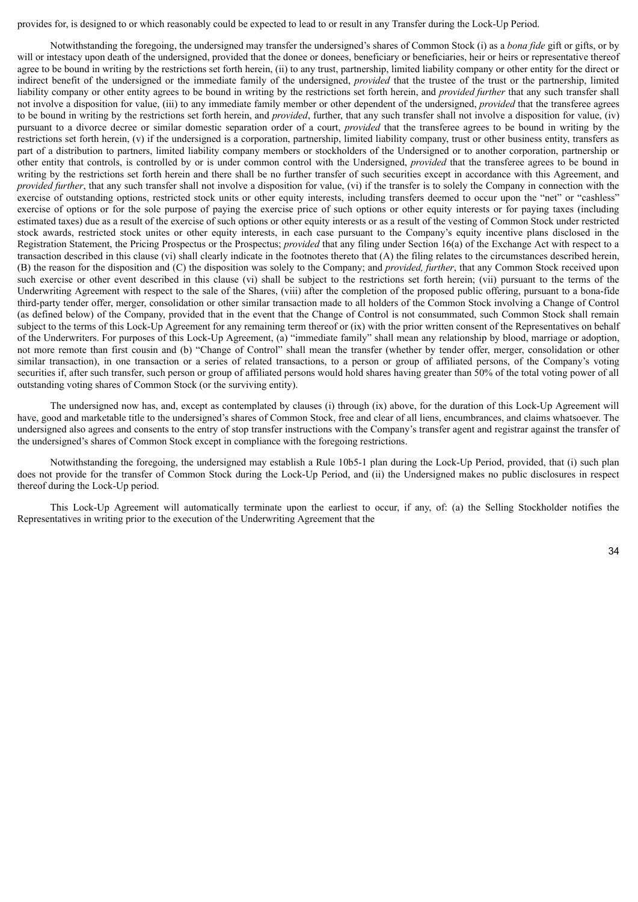provides for, is designed to or which reasonably could be expected to lead to or result in any Transfer during the Lock-Up Period.

Notwithstanding the foregoing, the undersigned may transfer the undersigned's shares of Common Stock (i) as a *bona fide* gift or gifts, or by will or intestacy upon death of the undersigned, provided that the donee or donees, beneficiary or beneficiaries, heir or heirs or representative thereof agree to be bound in writing by the restrictions set forth herein, (ii) to any trust, partnership, limited liability company or other entity for the direct or indirect benefit of the undersigned or the immediate family of the undersigned, *provided* that the trustee of the trust or the partnership, limited liability company or other entity agrees to be bound in writing by the restrictions set forth herein, and *provided further* that any such transfer shall not involve a disposition for value, (iii) to any immediate family member or other dependent of the undersigned, *provided* that the transferee agrees to be bound in writing by the restrictions set forth herein, and *provided*, further, that any such transfer shall not involve a disposition for value, (iv) pursuant to a divorce decree or similar domestic separation order of a court, *provided* that the transferee agrees to be bound in writing by the restrictions set forth herein, (v) if the undersigned is a corporation, partnership, limited liability company, trust or other business entity, transfers as part of a distribution to partners, limited liability company members or stockholders of the Undersigned or to another corporation, partnership or other entity that controls, is controlled by or is under common control with the Undersigned, *provided* that the transferee agrees to be bound in writing by the restrictions set forth herein and there shall be no further transfer of such securities except in accordance with this Agreement, and *provided further*, that any such transfer shall not involve a disposition for value, (vi) if the transfer is to solely the Company in connection with the exercise of outstanding options, restricted stock units or other equity interests, including transfers deemed to occur upon the "net" or "cashless" exercise of options or for the sole purpose of paying the exercise price of such options or other equity interests or for paying taxes (including estimated taxes) due as a result of the exercise of such options or other equity interests or as a result of the vesting of Common Stock under restricted stock awards, restricted stock unites or other equity interests, in each case pursuant to the Company's equity incentive plans disclosed in the Registration Statement, the Pricing Prospectus or the Prospectus; *provided* that any filing under Section 16(a) of the Exchange Act with respect to a transaction described in this clause (vi) shall clearly indicate in the footnotes thereto that (A) the filing relates to the circumstances described herein, (B) the reason for the disposition and (C) the disposition was solely to the Company; and *provided, further*, that any Common Stock received upon such exercise or other event described in this clause (vi) shall be subject to the restrictions set forth herein; (vii) pursuant to the terms of the Underwriting Agreement with respect to the sale of the Shares, (viii) after the completion of the proposed public offering, pursuant to a bona-fide third-party tender offer, merger, consolidation or other similar transaction made to all holders of the Common Stock involving a Change of Control (as defined below) of the Company, provided that in the event that the Change of Control is not consummated, such Common Stock shall remain subject to the terms of this Lock-Up Agreement for any remaining term thereof or (ix) with the prior written consent of the Representatives on behalf of the Underwriters. For purposes of this Lock-Up Agreement, (a) "immediate family" shall mean any relationship by blood, marriage or adoption, not more remote than first cousin and (b) "Change of Control" shall mean the transfer (whether by tender offer, merger, consolidation or other similar transaction), in one transaction or a series of related transactions, to a person or group of affiliated persons, of the Company's voting securities if, after such transfer, such person or group of affiliated persons would hold shares having greater than 50% of the total voting power of all outstanding voting shares of Common Stock (or the surviving entity).

The undersigned now has, and, except as contemplated by clauses (i) through (ix) above, for the duration of this Lock-Up Agreement will have, good and marketable title to the undersigned's shares of Common Stock, free and clear of all liens, encumbrances, and claims whatsoever. The undersigned also agrees and consents to the entry of stop transfer instructions with the Company's transfer agent and registrar against the transfer of the undersigned's shares of Common Stock except in compliance with the foregoing restrictions.

Notwithstanding the foregoing, the undersigned may establish a Rule 10b5-1 plan during the Lock-Up Period, provided, that (i) such plan does not provide for the transfer of Common Stock during the Lock-Up Period, and (ii) the Undersigned makes no public disclosures in respect thereof during the Lock-Up period.

This Lock-Up Agreement will automatically terminate upon the earliest to occur, if any, of: (a) the Selling Stockholder notifies the Representatives in writing prior to the execution of the Underwriting Agreement that the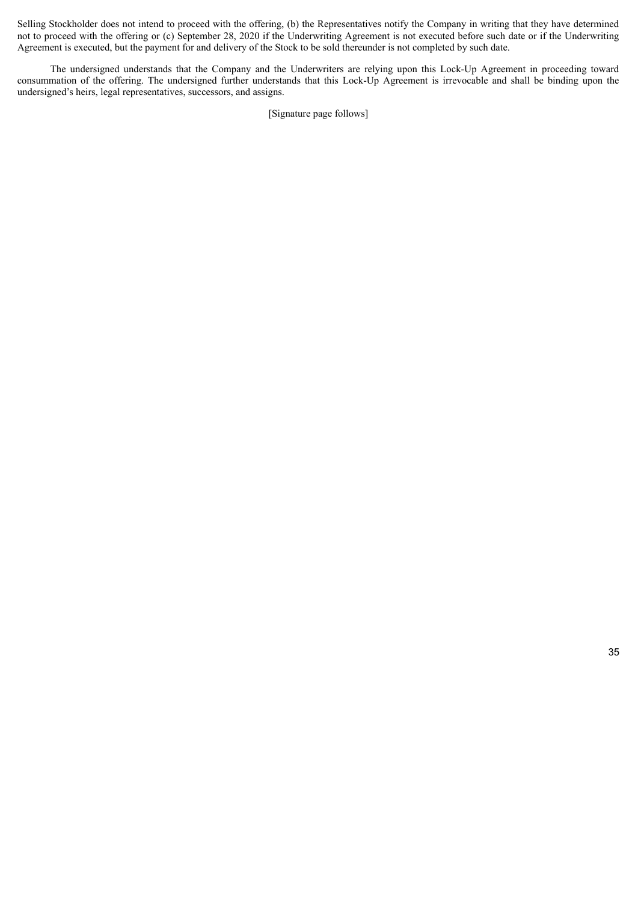Selling Stockholder does not intend to proceed with the offering, (b) the Representatives notify the Company in writing that they have determined not to proceed with the offering or (c) September 28, 2020 if the Underwriting Agreement is not executed before such date or if the Underwriting Agreement is executed, but the payment for and delivery of the Stock to be sold thereunder is not completed by such date.

The undersigned understands that the Company and the Underwriters are relying upon this Lock-Up Agreement in proceeding toward consummation of the offering. The undersigned further understands that this Lock-Up Agreement is irrevocable and shall be binding upon the undersigned's heirs, legal representatives, successors, and assigns.

[Signature page follows]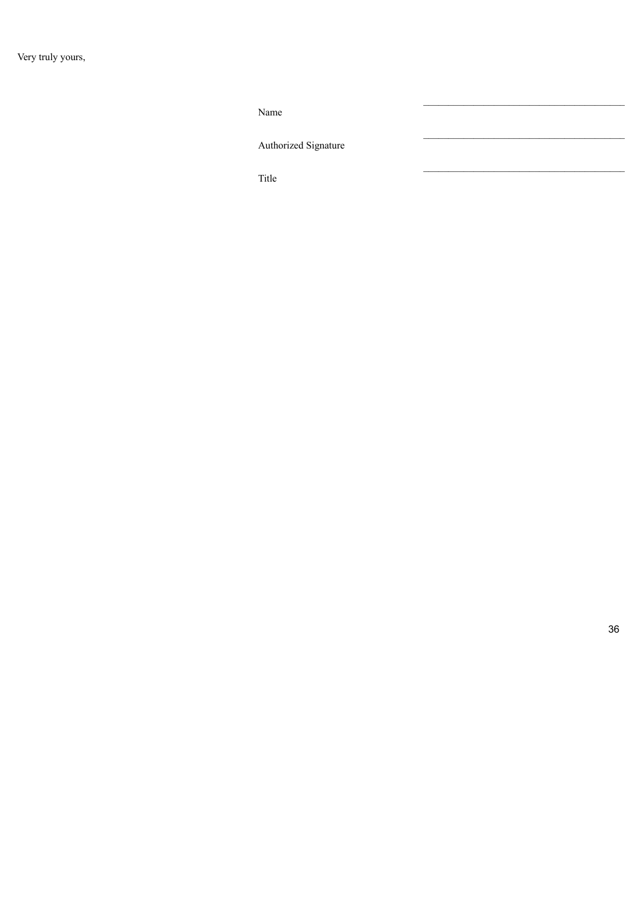Name

Authorized Signature

Title